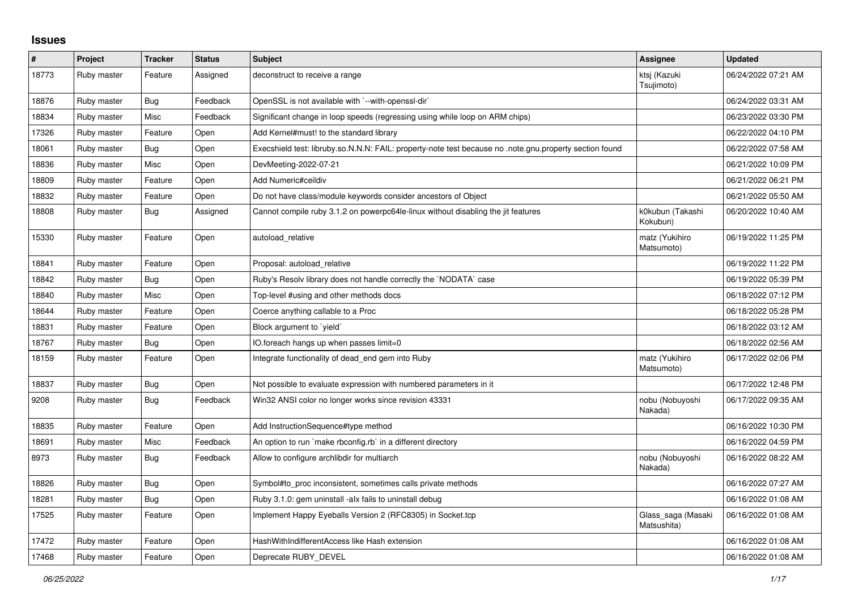## **Issues**

| $\#$  | Project     | <b>Tracker</b> | <b>Status</b> | <b>Subject</b>                                                                                          | Assignee                          | <b>Updated</b>      |
|-------|-------------|----------------|---------------|---------------------------------------------------------------------------------------------------------|-----------------------------------|---------------------|
| 18773 | Ruby master | Feature        | Assigned      | deconstruct to receive a range                                                                          | ktsj (Kazuki<br>Tsujimoto)        | 06/24/2022 07:21 AM |
| 18876 | Ruby master | <b>Bug</b>     | Feedback      | OpenSSL is not available with `--with-openssl-dir`                                                      |                                   | 06/24/2022 03:31 AM |
| 18834 | Ruby master | Misc           | Feedback      | Significant change in loop speeds (regressing using while loop on ARM chips)                            |                                   | 06/23/2022 03:30 PM |
| 17326 | Ruby master | Feature        | Open          | Add Kernel#must! to the standard library                                                                |                                   | 06/22/2022 04:10 PM |
| 18061 | Ruby master | Bug            | Open          | Execshield test: libruby.so.N.N.N: FAIL: property-note test because no .note.gnu.property section found |                                   | 06/22/2022 07:58 AM |
| 18836 | Ruby master | Misc           | Open          | DevMeeting-2022-07-21                                                                                   |                                   | 06/21/2022 10:09 PM |
| 18809 | Ruby master | Feature        | Open          | Add Numeric#ceildiv                                                                                     |                                   | 06/21/2022 06:21 PM |
| 18832 | Ruby master | Feature        | Open          | Do not have class/module keywords consider ancestors of Object                                          |                                   | 06/21/2022 05:50 AM |
| 18808 | Ruby master | <b>Bug</b>     | Assigned      | Cannot compile ruby 3.1.2 on powerpc64le-linux without disabling the jit features                       | k0kubun (Takashi<br>Kokubun)      | 06/20/2022 10:40 AM |
| 15330 | Ruby master | Feature        | Open          | autoload relative                                                                                       | matz (Yukihiro<br>Matsumoto)      | 06/19/2022 11:25 PM |
| 18841 | Ruby master | Feature        | Open          | Proposal: autoload relative                                                                             |                                   | 06/19/2022 11:22 PM |
| 18842 | Ruby master | <b>Bug</b>     | Open          | Ruby's Resolv library does not handle correctly the `NODATA` case                                       |                                   | 06/19/2022 05:39 PM |
| 18840 | Ruby master | Misc           | Open          | Top-level #using and other methods docs                                                                 |                                   | 06/18/2022 07:12 PM |
| 18644 | Ruby master | Feature        | Open          | Coerce anything callable to a Proc                                                                      |                                   | 06/18/2022 05:28 PM |
| 18831 | Ruby master | Feature        | Open          | Block argument to `yield`                                                                               |                                   | 06/18/2022 03:12 AM |
| 18767 | Ruby master | Bug            | Open          | IO.foreach hangs up when passes limit=0                                                                 |                                   | 06/18/2022 02:56 AM |
| 18159 | Ruby master | Feature        | Open          | Integrate functionality of dead_end gem into Ruby                                                       | matz (Yukihiro<br>Matsumoto)      | 06/17/2022 02:06 PM |
| 18837 | Ruby master | Bug            | Open          | Not possible to evaluate expression with numbered parameters in it                                      |                                   | 06/17/2022 12:48 PM |
| 9208  | Ruby master | Bug            | Feedback      | Win32 ANSI color no longer works since revision 43331                                                   | nobu (Nobuyoshi<br>Nakada)        | 06/17/2022 09:35 AM |
| 18835 | Ruby master | Feature        | Open          | Add InstructionSequence#type method                                                                     |                                   | 06/16/2022 10:30 PM |
| 18691 | Ruby master | Misc           | Feedback      | An option to run `make rbconfig.rb` in a different directory                                            |                                   | 06/16/2022 04:59 PM |
| 8973  | Ruby master | <b>Bug</b>     | Feedback      | Allow to configure archlibdir for multiarch                                                             | nobu (Nobuyoshi<br>Nakada)        | 06/16/2022 08:22 AM |
| 18826 | Ruby master | <b>Bug</b>     | Open          | Symbol#to proc inconsistent, sometimes calls private methods                                            |                                   | 06/16/2022 07:27 AM |
| 18281 | Ruby master | <b>Bug</b>     | Open          | Ruby 3.1.0: gem uninstall -alx fails to uninstall debug                                                 |                                   | 06/16/2022 01:08 AM |
| 17525 | Ruby master | Feature        | Open          | Implement Happy Eyeballs Version 2 (RFC8305) in Socket.tcp                                              | Glass_saga (Masaki<br>Matsushita) | 06/16/2022 01:08 AM |
| 17472 | Ruby master | Feature        | Open          | HashWithIndifferentAccess like Hash extension                                                           |                                   | 06/16/2022 01:08 AM |
| 17468 | Ruby master | Feature        | Open          | Deprecate RUBY DEVEL                                                                                    |                                   | 06/16/2022 01:08 AM |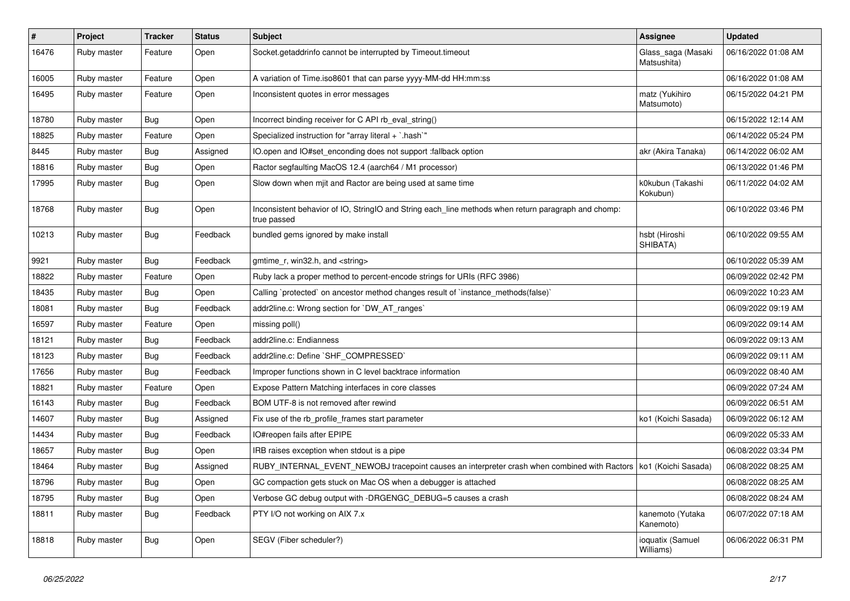| $\vert$ # | Project     | <b>Tracker</b> | <b>Status</b> | <b>Subject</b>                                                                                                     | <b>Assignee</b>                   | <b>Updated</b>      |
|-----------|-------------|----------------|---------------|--------------------------------------------------------------------------------------------------------------------|-----------------------------------|---------------------|
| 16476     | Ruby master | Feature        | Open          | Socket.getaddrinfo cannot be interrupted by Timeout.timeout                                                        | Glass_saga (Masaki<br>Matsushita) | 06/16/2022 01:08 AM |
| 16005     | Ruby master | Feature        | Open          | A variation of Time.iso8601 that can parse yyyy-MM-dd HH:mm:ss                                                     |                                   | 06/16/2022 01:08 AM |
| 16495     | Ruby master | Feature        | Open          | Inconsistent quotes in error messages                                                                              | matz (Yukihiro<br>Matsumoto)      | 06/15/2022 04:21 PM |
| 18780     | Ruby master | Bug            | Open          | Incorrect binding receiver for C API rb eval string()                                                              |                                   | 06/15/2022 12:14 AM |
| 18825     | Ruby master | Feature        | Open          | Specialized instruction for "array literal $+$ `.hash`"                                                            |                                   | 06/14/2022 05:24 PM |
| 8445      | Ruby master | <b>Bug</b>     | Assigned      | IO.open and IO#set_enconding does not support :fallback option                                                     | akr (Akira Tanaka)                | 06/14/2022 06:02 AM |
| 18816     | Ruby master | <b>Bug</b>     | Open          | Ractor segfaulting MacOS 12.4 (aarch64 / M1 processor)                                                             |                                   | 06/13/2022 01:46 PM |
| 17995     | Ruby master | <b>Bug</b>     | Open          | Slow down when mjit and Ractor are being used at same time                                                         | k0kubun (Takashi<br>Kokubun)      | 06/11/2022 04:02 AM |
| 18768     | Ruby master | Bug            | Open          | Inconsistent behavior of IO, StringIO and String each line methods when return paragraph and chomp:<br>true passed |                                   | 06/10/2022 03:46 PM |
| 10213     | Ruby master | <b>Bug</b>     | Feedback      | bundled gems ignored by make install                                                                               | hsbt (Hiroshi<br>SHIBATA)         | 06/10/2022 09:55 AM |
| 9921      | Ruby master | <b>Bug</b>     | Feedback      | gmtime_r, win32.h, and <string></string>                                                                           |                                   | 06/10/2022 05:39 AM |
| 18822     | Ruby master | Feature        | Open          | Ruby lack a proper method to percent-encode strings for URIs (RFC 3986)                                            |                                   | 06/09/2022 02:42 PM |
| 18435     | Ruby master | Bug            | Open          | Calling `protected` on ancestor method changes result of `instance_methods(false)`                                 |                                   | 06/09/2022 10:23 AM |
| 18081     | Ruby master | <b>Bug</b>     | Feedback      | addr2line.c: Wrong section for `DW AT ranges`                                                                      |                                   | 06/09/2022 09:19 AM |
| 16597     | Ruby master | Feature        | Open          | missing poll()                                                                                                     |                                   | 06/09/2022 09:14 AM |
| 18121     | Ruby master | <b>Bug</b>     | Feedback      | addr2line.c: Endianness                                                                                            |                                   | 06/09/2022 09:13 AM |
| 18123     | Ruby master | <b>Bug</b>     | Feedback      | addr2line.c: Define `SHF_COMPRESSED`                                                                               |                                   | 06/09/2022 09:11 AM |
| 17656     | Ruby master | Bug            | Feedback      | Improper functions shown in C level backtrace information                                                          |                                   | 06/09/2022 08:40 AM |
| 18821     | Ruby master | Feature        | Open          | Expose Pattern Matching interfaces in core classes                                                                 |                                   | 06/09/2022 07:24 AM |
| 16143     | Ruby master | <b>Bug</b>     | Feedback      | BOM UTF-8 is not removed after rewind                                                                              |                                   | 06/09/2022 06:51 AM |
| 14607     | Ruby master | Bug            | Assigned      | Fix use of the rb_profile_frames start parameter                                                                   | ko1 (Koichi Sasada)               | 06/09/2022 06:12 AM |
| 14434     | Ruby master | Bug            | Feedback      | IO#reopen fails after EPIPE                                                                                        |                                   | 06/09/2022 05:33 AM |
| 18657     | Ruby master | <b>Bug</b>     | Open          | IRB raises exception when stdout is a pipe                                                                         |                                   | 06/08/2022 03:34 PM |
| 18464     | Ruby master | Bug            | Assigned      | RUBY INTERNAL EVENT NEWOBJ tracepoint causes an interpreter crash when combined with Ractors                       | ko1 (Koichi Sasada)               | 06/08/2022 08:25 AM |
| 18796     | Ruby master | <b>Bug</b>     | Open          | GC compaction gets stuck on Mac OS when a debugger is attached                                                     |                                   | 06/08/2022 08:25 AM |
| 18795     | Ruby master | <b>Bug</b>     | Open          | Verbose GC debug output with -DRGENGC_DEBUG=5 causes a crash                                                       |                                   | 06/08/2022 08:24 AM |
| 18811     | Ruby master | <b>Bug</b>     | Feedback      | PTY I/O not working on AIX 7.x                                                                                     | kanemoto (Yutaka<br>Kanemoto)     | 06/07/2022 07:18 AM |
| 18818     | Ruby master | Bug            | Open          | SEGV (Fiber scheduler?)                                                                                            | ioquatix (Samuel<br>Williams)     | 06/06/2022 06:31 PM |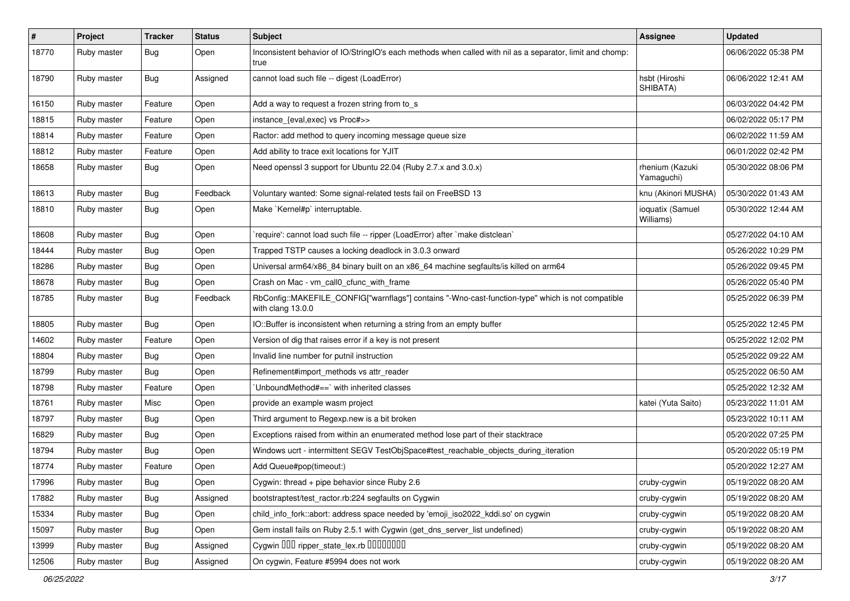| $\sharp$ | Project     | <b>Tracker</b> | <b>Status</b> | Subject                                                                                                                | <b>Assignee</b>               | <b>Updated</b>      |
|----------|-------------|----------------|---------------|------------------------------------------------------------------------------------------------------------------------|-------------------------------|---------------------|
| 18770    | Ruby master | Bug            | Open          | Inconsistent behavior of IO/StringIO's each methods when called with nil as a separator, limit and chomp:<br>true      |                               | 06/06/2022 05:38 PM |
| 18790    | Ruby master | Bug            | Assigned      | cannot load such file -- digest (LoadError)                                                                            | hsbt (Hiroshi<br>SHIBATA)     | 06/06/2022 12:41 AM |
| 16150    | Ruby master | Feature        | Open          | Add a way to request a frozen string from to_s                                                                         |                               | 06/03/2022 04:42 PM |
| 18815    | Ruby master | Feature        | Open          | instance_{eval,exec} vs Proc#>>                                                                                        |                               | 06/02/2022 05:17 PM |
| 18814    | Ruby master | Feature        | Open          | Ractor: add method to query incoming message queue size                                                                |                               | 06/02/2022 11:59 AM |
| 18812    | Ruby master | Feature        | Open          | Add ability to trace exit locations for YJIT                                                                           |                               | 06/01/2022 02:42 PM |
| 18658    | Ruby master | <b>Bug</b>     | Open          | Need openssl 3 support for Ubuntu 22.04 (Ruby 2.7.x and 3.0.x)                                                         | rhenium (Kazuki<br>Yamaguchi) | 05/30/2022 08:06 PM |
| 18613    | Ruby master | Bug            | Feedback      | Voluntary wanted: Some signal-related tests fail on FreeBSD 13                                                         | knu (Akinori MUSHA)           | 05/30/2022 01:43 AM |
| 18810    | Ruby master | <b>Bug</b>     | Open          | Make `Kernel#p` interruptable.                                                                                         | ioquatix (Samuel<br>Williams) | 05/30/2022 12:44 AM |
| 18608    | Ruby master | Bug            | Open          | 'require': cannot load such file -- ripper (LoadError) after 'make distclean'                                          |                               | 05/27/2022 04:10 AM |
| 18444    | Ruby master | <b>Bug</b>     | Open          | Trapped TSTP causes a locking deadlock in 3.0.3 onward                                                                 |                               | 05/26/2022 10:29 PM |
| 18286    | Ruby master | Bug            | Open          | Universal arm64/x86_84 binary built on an x86_64 machine segfaults/is killed on arm64                                  |                               | 05/26/2022 09:45 PM |
| 18678    | Ruby master | <b>Bug</b>     | Open          | Crash on Mac - vm_call0_cfunc_with_frame                                                                               |                               | 05/26/2022 05:40 PM |
| 18785    | Ruby master | <b>Bug</b>     | Feedback      | RbConfig::MAKEFILE_CONFIG["warnflags"] contains "-Wno-cast-function-type" which is not compatible<br>with clang 13.0.0 |                               | 05/25/2022 06:39 PM |
| 18805    | Ruby master | Bug            | Open          | IO::Buffer is inconsistent when returning a string from an empty buffer                                                |                               | 05/25/2022 12:45 PM |
| 14602    | Ruby master | Feature        | Open          | Version of dig that raises error if a key is not present                                                               |                               | 05/25/2022 12:02 PM |
| 18804    | Ruby master | <b>Bug</b>     | Open          | Invalid line number for putnil instruction                                                                             |                               | 05/25/2022 09:22 AM |
| 18799    | Ruby master | <b>Bug</b>     | Open          | Refinement#import_methods vs attr_reader                                                                               |                               | 05/25/2022 06:50 AM |
| 18798    | Ruby master | Feature        | Open          | UnboundMethod#==`with inherited classes                                                                                |                               | 05/25/2022 12:32 AM |
| 18761    | Ruby master | Misc           | Open          | provide an example wasm project                                                                                        | katei (Yuta Saito)            | 05/23/2022 11:01 AM |
| 18797    | Ruby master | <b>Bug</b>     | Open          | Third argument to Regexp.new is a bit broken                                                                           |                               | 05/23/2022 10:11 AM |
| 16829    | Ruby master | <b>Bug</b>     | Open          | Exceptions raised from within an enumerated method lose part of their stacktrace                                       |                               | 05/20/2022 07:25 PM |
| 18794    | Ruby master | <b>Bug</b>     | Open          | Windows ucrt - intermittent SEGV TestObjSpace#test_reachable_objects_during_iteration                                  |                               | 05/20/2022 05:19 PM |
| 18774    | Ruby master | Feature        | Open          | Add Queue#pop(timeout:)                                                                                                |                               | 05/20/2022 12:27 AM |
| 17996    | Ruby master | Bug            | Open          | Cygwin: thread + pipe behavior since Ruby 2.6                                                                          | cruby-cygwin                  | 05/19/2022 08:20 AM |
| 17882    | Ruby master | <b>Bug</b>     | Assigned      | bootstraptest/test_ractor.rb:224 segfaults on Cygwin                                                                   | cruby-cygwin                  | 05/19/2022 08:20 AM |
| 15334    | Ruby master | <b>Bug</b>     | Open          | child_info_fork::abort: address space needed by 'emoji_iso2022_kddi.so' on cygwin                                      | cruby-cygwin                  | 05/19/2022 08:20 AM |
| 15097    | Ruby master | <b>Bug</b>     | Open          | Gem install fails on Ruby 2.5.1 with Cygwin (get_dns_server_list undefined)                                            | cruby-cygwin                  | 05/19/2022 08:20 AM |
| 13999    | Ruby master | <b>Bug</b>     | Assigned      | Cygwin DDD ripper_state_lex.rb DDDDDDD                                                                                 | cruby-cygwin                  | 05/19/2022 08:20 AM |
| 12506    | Ruby master | <b>Bug</b>     | Assigned      | On cygwin, Feature #5994 does not work                                                                                 | cruby-cygwin                  | 05/19/2022 08:20 AM |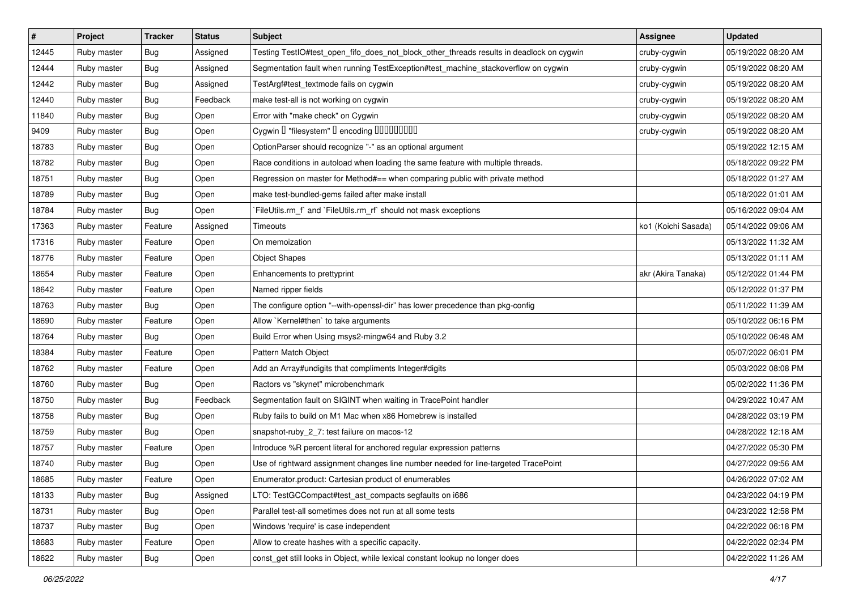| $\vert$ # | Project     | <b>Tracker</b> | <b>Status</b> | <b>Subject</b>                                                                           | Assignee            | <b>Updated</b>      |
|-----------|-------------|----------------|---------------|------------------------------------------------------------------------------------------|---------------------|---------------------|
| 12445     | Ruby master | <b>Bug</b>     | Assigned      | Testing TestlO#test_open_fifo_does_not_block_other_threads results in deadlock on cygwin | cruby-cygwin        | 05/19/2022 08:20 AM |
| 12444     | Ruby master | <b>Bug</b>     | Assigned      | Segmentation fault when running TestException#test_machine_stackoverflow on cygwin       | cruby-cygwin        | 05/19/2022 08:20 AM |
| 12442     | Ruby master | Bug            | Assigned      | TestArgf#test_textmode fails on cygwin                                                   | cruby-cygwin        | 05/19/2022 08:20 AM |
| 12440     | Ruby master | <b>Bug</b>     | Feedback      | make test-all is not working on cygwin                                                   | cruby-cygwin        | 05/19/2022 08:20 AM |
| 11840     | Ruby master | <b>Bug</b>     | Open          | Error with "make check" on Cygwin                                                        | cruby-cygwin        | 05/19/2022 08:20 AM |
| 9409      | Ruby master | <b>Bug</b>     | Open          | Cygwin I "filesystem" I encoding IIIIIIIIIIIII                                           | cruby-cygwin        | 05/19/2022 08:20 AM |
| 18783     | Ruby master | <b>Bug</b>     | Open          | OptionParser should recognize "-" as an optional argument                                |                     | 05/19/2022 12:15 AM |
| 18782     | Ruby master | Bug            | Open          | Race conditions in autoload when loading the same feature with multiple threads.         |                     | 05/18/2022 09:22 PM |
| 18751     | Ruby master | <b>Bug</b>     | Open          | Regression on master for Method#== when comparing public with private method             |                     | 05/18/2022 01:27 AM |
| 18789     | Ruby master | <b>Bug</b>     | Open          | make test-bundled-gems failed after make install                                         |                     | 05/18/2022 01:01 AM |
| 18784     | Ruby master | Bug            | Open          | FileUtils.rm_f` and `FileUtils.rm_rf` should not mask exceptions                         |                     | 05/16/2022 09:04 AM |
| 17363     | Ruby master | Feature        | Assigned      | Timeouts                                                                                 | ko1 (Koichi Sasada) | 05/14/2022 09:06 AM |
| 17316     | Ruby master | Feature        | Open          | On memoization                                                                           |                     | 05/13/2022 11:32 AM |
| 18776     | Ruby master | Feature        | Open          | <b>Object Shapes</b>                                                                     |                     | 05/13/2022 01:11 AM |
| 18654     | Ruby master | Feature        | Open          | Enhancements to prettyprint                                                              | akr (Akira Tanaka)  | 05/12/2022 01:44 PM |
| 18642     | Ruby master | Feature        | Open          | Named ripper fields                                                                      |                     | 05/12/2022 01:37 PM |
| 18763     | Ruby master | <b>Bug</b>     | Open          | The configure option "--with-openssl-dir" has lower precedence than pkg-config           |                     | 05/11/2022 11:39 AM |
| 18690     | Ruby master | Feature        | Open          | Allow `Kernel#then` to take arguments                                                    |                     | 05/10/2022 06:16 PM |
| 18764     | Ruby master | Bug            | Open          | Build Error when Using msys2-mingw64 and Ruby 3.2                                        |                     | 05/10/2022 06:48 AM |
| 18384     | Ruby master | Feature        | Open          | Pattern Match Object                                                                     |                     | 05/07/2022 06:01 PM |
| 18762     | Ruby master | Feature        | Open          | Add an Array#undigits that compliments Integer#digits                                    |                     | 05/03/2022 08:08 PM |
| 18760     | Ruby master | <b>Bug</b>     | Open          | Ractors vs "skynet" microbenchmark                                                       |                     | 05/02/2022 11:36 PM |
| 18750     | Ruby master | <b>Bug</b>     | Feedback      | Segmentation fault on SIGINT when waiting in TracePoint handler                          |                     | 04/29/2022 10:47 AM |
| 18758     | Ruby master | <b>Bug</b>     | Open          | Ruby fails to build on M1 Mac when x86 Homebrew is installed                             |                     | 04/28/2022 03:19 PM |
| 18759     | Ruby master | <b>Bug</b>     | Open          | snapshot-ruby_2_7: test failure on macos-12                                              |                     | 04/28/2022 12:18 AM |
| 18757     | Ruby master | Feature        | Open          | Introduce %R percent literal for anchored regular expression patterns                    |                     | 04/27/2022 05:30 PM |
| 18740     | Ruby master | <b>Bug</b>     | Open          | Use of rightward assignment changes line number needed for line-targeted TracePoint      |                     | 04/27/2022 09:56 AM |
| 18685     | Ruby master | Feature        | Open          | Enumerator.product: Cartesian product of enumerables                                     |                     | 04/26/2022 07:02 AM |
| 18133     | Ruby master | <b>Bug</b>     | Assigned      | LTO: TestGCCompact#test ast compacts segfaults on i686                                   |                     | 04/23/2022 04:19 PM |
| 18731     | Ruby master | <b>Bug</b>     | Open          | Parallel test-all sometimes does not run at all some tests                               |                     | 04/23/2022 12:58 PM |
| 18737     | Ruby master | Bug            | Open          | Windows 'require' is case independent                                                    |                     | 04/22/2022 06:18 PM |
| 18683     | Ruby master | Feature        | Open          | Allow to create hashes with a specific capacity.                                         |                     | 04/22/2022 02:34 PM |
| 18622     | Ruby master | <b>Bug</b>     | Open          | const_get still looks in Object, while lexical constant lookup no longer does            |                     | 04/22/2022 11:26 AM |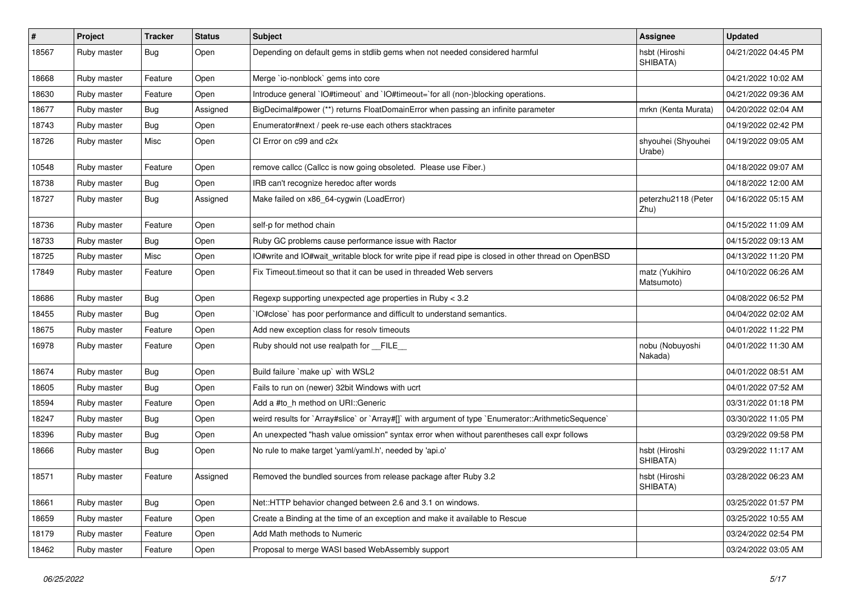| $\vert$ # | Project     | <b>Tracker</b> | <b>Status</b> | Subject                                                                                              | <b>Assignee</b>              | <b>Updated</b>      |
|-----------|-------------|----------------|---------------|------------------------------------------------------------------------------------------------------|------------------------------|---------------------|
| 18567     | Ruby master | Bug            | Open          | Depending on default gems in stdlib gems when not needed considered harmful                          | hsbt (Hiroshi<br>SHIBATA)    | 04/21/2022 04:45 PM |
| 18668     | Ruby master | Feature        | Open          | Merge `io-nonblock` gems into core                                                                   |                              | 04/21/2022 10:02 AM |
| 18630     | Ruby master | Feature        | Open          | Introduce general `IO#timeout` and `IO#timeout=`for all (non-)blocking operations.                   |                              | 04/21/2022 09:36 AM |
| 18677     | Ruby master | Bug            | Assigned      | BigDecimal#power (**) returns FloatDomainError when passing an infinite parameter                    | mrkn (Kenta Murata)          | 04/20/2022 02:04 AM |
| 18743     | Ruby master | Bug            | Open          | Enumerator#next / peek re-use each others stacktraces                                                |                              | 04/19/2022 02:42 PM |
| 18726     | Ruby master | Misc           | Open          | CI Error on c99 and c2x                                                                              | shyouhei (Shyouhei<br>Urabe) | 04/19/2022 09:05 AM |
| 10548     | Ruby master | Feature        | Open          | remove callcc (Callcc is now going obsoleted. Please use Fiber.)                                     |                              | 04/18/2022 09:07 AM |
| 18738     | Ruby master | <b>Bug</b>     | Open          | IRB can't recognize heredoc after words                                                              |                              | 04/18/2022 12:00 AM |
| 18727     | Ruby master | Bug            | Assigned      | Make failed on x86_64-cygwin (LoadError)                                                             | peterzhu2118 (Peter<br>Zhu)  | 04/16/2022 05:15 AM |
| 18736     | Ruby master | Feature        | Open          | self-p for method chain                                                                              |                              | 04/15/2022 11:09 AM |
| 18733     | Ruby master | <b>Bug</b>     | Open          | Ruby GC problems cause performance issue with Ractor                                                 |                              | 04/15/2022 09:13 AM |
| 18725     | Ruby master | Misc           | Open          | IO#write and IO#wait_writable block for write pipe if read pipe is closed in other thread on OpenBSD |                              | 04/13/2022 11:20 PM |
| 17849     | Ruby master | Feature        | Open          | Fix Timeout timeout so that it can be used in threaded Web servers                                   | matz (Yukihiro<br>Matsumoto) | 04/10/2022 06:26 AM |
| 18686     | Ruby master | Bug            | Open          | Regexp supporting unexpected age properties in Ruby < 3.2                                            |                              | 04/08/2022 06:52 PM |
| 18455     | Ruby master | Bug            | Open          | IO#close` has poor performance and difficult to understand semantics.                                |                              | 04/04/2022 02:02 AM |
| 18675     | Ruby master | Feature        | Open          | Add new exception class for resolv timeouts                                                          |                              | 04/01/2022 11:22 PM |
| 16978     | Ruby master | Feature        | Open          | Ruby should not use realpath for __FILE_                                                             | nobu (Nobuyoshi<br>Nakada)   | 04/01/2022 11:30 AM |
| 18674     | Ruby master | <b>Bug</b>     | Open          | Build failure `make up` with WSL2                                                                    |                              | 04/01/2022 08:51 AM |
| 18605     | Ruby master | Bug            | Open          | Fails to run on (newer) 32bit Windows with ucrt                                                      |                              | 04/01/2022 07:52 AM |
| 18594     | Ruby master | Feature        | Open          | Add a #to_h method on URI::Generic                                                                   |                              | 03/31/2022 01:18 PM |
| 18247     | Ruby master | <b>Bug</b>     | Open          | weird results for `Array#slice` or `Array#[]` with argument of type `Enumerator::ArithmeticSequence` |                              | 03/30/2022 11:05 PM |
| 18396     | Ruby master | <b>Bug</b>     | Open          | An unexpected "hash value omission" syntax error when without parentheses call expr follows          |                              | 03/29/2022 09:58 PM |
| 18666     | Ruby master | <b>Bug</b>     | Open          | No rule to make target 'yaml/yaml.h', needed by 'api.o'                                              | hsbt (Hiroshi<br>SHIBATA)    | 03/29/2022 11:17 AM |
| 18571     | Ruby master | Feature        | Assigned      | Removed the bundled sources from release package after Ruby 3.2                                      | hsbt (Hiroshi<br>SHIBATA)    | 03/28/2022 06:23 AM |
| 18661     | Ruby master | <b>Bug</b>     | Open          | Net::HTTP behavior changed between 2.6 and 3.1 on windows.                                           |                              | 03/25/2022 01:57 PM |
| 18659     | Ruby master | Feature        | Open          | Create a Binding at the time of an exception and make it available to Rescue                         |                              | 03/25/2022 10:55 AM |
| 18179     | Ruby master | Feature        | Open          | Add Math methods to Numeric                                                                          |                              | 03/24/2022 02:54 PM |
| 18462     | Ruby master | Feature        | Open          | Proposal to merge WASI based WebAssembly support                                                     |                              | 03/24/2022 03:05 AM |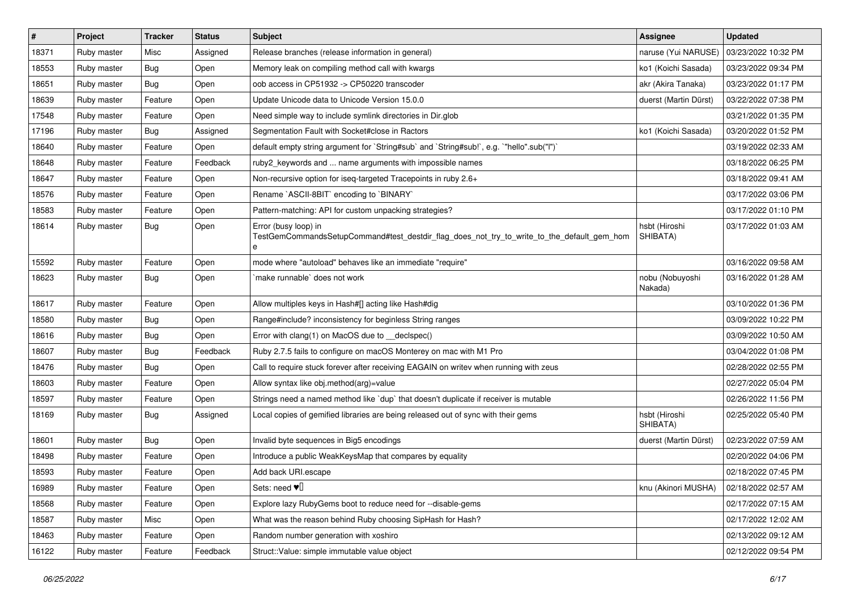| $\vert$ # | Project     | <b>Tracker</b> | <b>Status</b> | <b>Subject</b>                                                                                                          | Assignee                   | <b>Updated</b>      |
|-----------|-------------|----------------|---------------|-------------------------------------------------------------------------------------------------------------------------|----------------------------|---------------------|
| 18371     | Ruby master | Misc           | Assigned      | Release branches (release information in general)                                                                       | naruse (Yui NARUSE)        | 03/23/2022 10:32 PM |
| 18553     | Ruby master | Bug            | Open          | Memory leak on compiling method call with kwargs                                                                        | ko1 (Koichi Sasada)        | 03/23/2022 09:34 PM |
| 18651     | Ruby master | Bug            | Open          | oob access in CP51932 -> CP50220 transcoder                                                                             | akr (Akira Tanaka)         | 03/23/2022 01:17 PM |
| 18639     | Ruby master | Feature        | Open          | Update Unicode data to Unicode Version 15.0.0                                                                           | duerst (Martin Dürst)      | 03/22/2022 07:38 PM |
| 17548     | Ruby master | Feature        | Open          | Need simple way to include symlink directories in Dir.glob                                                              |                            | 03/21/2022 01:35 PM |
| 17196     | Ruby master | <b>Bug</b>     | Assigned      | Segmentation Fault with Socket#close in Ractors                                                                         | ko1 (Koichi Sasada)        | 03/20/2022 01:52 PM |
| 18640     | Ruby master | Feature        | Open          | default empty string argument for `String#sub` and `String#sub!`, e.g. `"hello".sub("I")`                               |                            | 03/19/2022 02:33 AM |
| 18648     | Ruby master | Feature        | Feedback      | ruby2_keywords and  name arguments with impossible names                                                                |                            | 03/18/2022 06:25 PM |
| 18647     | Ruby master | Feature        | Open          | Non-recursive option for iseq-targeted Tracepoints in ruby 2.6+                                                         |                            | 03/18/2022 09:41 AM |
| 18576     | Ruby master | Feature        | Open          | Rename `ASCII-8BIT` encoding to `BINARY`                                                                                |                            | 03/17/2022 03:06 PM |
| 18583     | Ruby master | Feature        | Open          | Pattern-matching: API for custom unpacking strategies?                                                                  |                            | 03/17/2022 01:10 PM |
| 18614     | Ruby master | Bug            | Open          | Error (busy loop) in<br>TestGemCommandsSetupCommand#test_destdir_flag_does_not_try_to_write_to_the_default_gem_hom<br>e | hsbt (Hiroshi<br>SHIBATA)  | 03/17/2022 01:03 AM |
| 15592     | Ruby master | Feature        | Open          | mode where "autoload" behaves like an immediate "require"                                                               |                            | 03/16/2022 09:58 AM |
| 18623     | Ruby master | Bug            | Open          | make runnable` does not work                                                                                            | nobu (Nobuyoshi<br>Nakada) | 03/16/2022 01:28 AM |
| 18617     | Ruby master | Feature        | Open          | Allow multiples keys in Hash#[] acting like Hash#dig                                                                    |                            | 03/10/2022 01:36 PM |
| 18580     | Ruby master | Bug            | Open          | Range#include? inconsistency for beginless String ranges                                                                |                            | 03/09/2022 10:22 PM |
| 18616     | Ruby master | <b>Bug</b>     | Open          | Error with clang(1) on MacOS due to _declspec()                                                                         |                            | 03/09/2022 10:50 AM |
| 18607     | Ruby master | <b>Bug</b>     | Feedback      | Ruby 2.7.5 fails to configure on macOS Monterey on mac with M1 Pro                                                      |                            | 03/04/2022 01:08 PM |
| 18476     | Ruby master | Bug            | Open          | Call to require stuck forever after receiving EAGAIN on writev when running with zeus                                   |                            | 02/28/2022 02:55 PM |
| 18603     | Ruby master | Feature        | Open          | Allow syntax like obj.method(arg)=value                                                                                 |                            | 02/27/2022 05:04 PM |
| 18597     | Ruby master | Feature        | Open          | Strings need a named method like `dup` that doesn't duplicate if receiver is mutable                                    |                            | 02/26/2022 11:56 PM |
| 18169     | Ruby master | Bug            | Assigned      | Local copies of gemified libraries are being released out of sync with their gems                                       | hsbt (Hiroshi<br>SHIBATA)  | 02/25/2022 05:40 PM |
| 18601     | Ruby master | Bug            | Open          | Invalid byte sequences in Big5 encodings                                                                                | duerst (Martin Dürst)      | 02/23/2022 07:59 AM |
| 18498     | Ruby master | Feature        | Open          | Introduce a public WeakKeysMap that compares by equality                                                                |                            | 02/20/2022 04:06 PM |
| 18593     | Ruby master | Feature        | Open          | Add back URI.escape                                                                                                     |                            | 02/18/2022 07:45 PM |
| 16989     | Ruby master | Feature        | Open          | Sets: need $\Psi$                                                                                                       | knu (Akinori MUSHA)        | 02/18/2022 02:57 AM |
| 18568     | Ruby master | Feature        | Open          | Explore lazy RubyGems boot to reduce need for --disable-gems                                                            |                            | 02/17/2022 07:15 AM |
| 18587     | Ruby master | Misc           | Open          | What was the reason behind Ruby choosing SipHash for Hash?                                                              |                            | 02/17/2022 12:02 AM |
| 18463     | Ruby master | Feature        | Open          | Random number generation with xoshiro                                                                                   |                            | 02/13/2022 09:12 AM |
| 16122     | Ruby master | Feature        | Feedback      | Struct::Value: simple immutable value object                                                                            |                            | 02/12/2022 09:54 PM |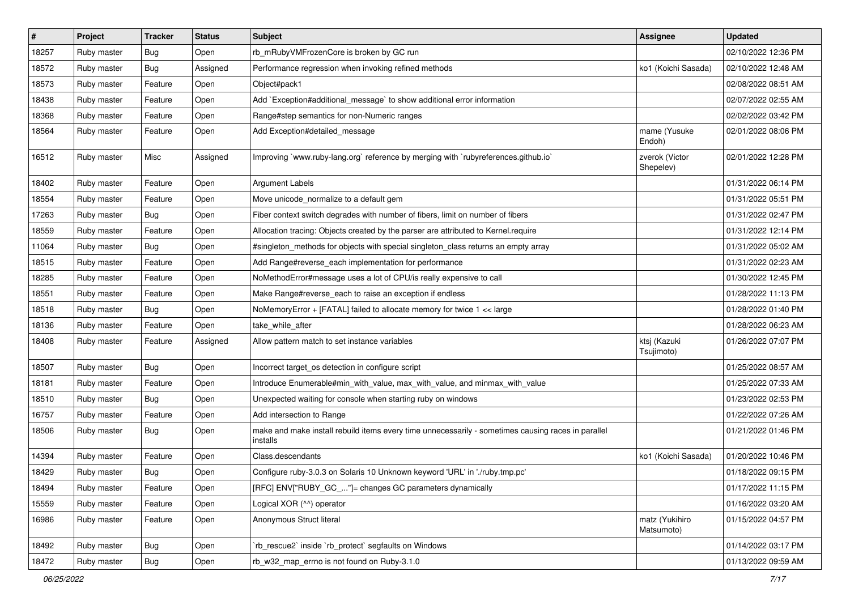| $\vert$ # | Project     | <b>Tracker</b> | <b>Status</b> | Subject                                                                                                        | <b>Assignee</b>              | <b>Updated</b>      |
|-----------|-------------|----------------|---------------|----------------------------------------------------------------------------------------------------------------|------------------------------|---------------------|
| 18257     | Ruby master | <b>Bug</b>     | Open          | rb_mRubyVMFrozenCore is broken by GC run                                                                       |                              | 02/10/2022 12:36 PM |
| 18572     | Ruby master | <b>Bug</b>     | Assigned      | Performance regression when invoking refined methods                                                           | ko1 (Koichi Sasada)          | 02/10/2022 12:48 AM |
| 18573     | Ruby master | Feature        | Open          | Object#pack1                                                                                                   |                              | 02/08/2022 08:51 AM |
| 18438     | Ruby master | Feature        | Open          | Add `Exception#additional_message` to show additional error information                                        |                              | 02/07/2022 02:55 AM |
| 18368     | Ruby master | Feature        | Open          | Range#step semantics for non-Numeric ranges                                                                    |                              | 02/02/2022 03:42 PM |
| 18564     | Ruby master | Feature        | Open          | Add Exception#detailed_message                                                                                 | mame (Yusuke<br>Endoh)       | 02/01/2022 08:06 PM |
| 16512     | Ruby master | Misc           | Assigned      | Improving `www.ruby-lang.org` reference by merging with `rubyreferences.github.io`                             | zverok (Victor<br>Shepelev)  | 02/01/2022 12:28 PM |
| 18402     | Ruby master | Feature        | Open          | <b>Argument Labels</b>                                                                                         |                              | 01/31/2022 06:14 PM |
| 18554     | Ruby master | Feature        | Open          | Move unicode_normalize to a default gem                                                                        |                              | 01/31/2022 05:51 PM |
| 17263     | Ruby master | Bug            | Open          | Fiber context switch degrades with number of fibers, limit on number of fibers                                 |                              | 01/31/2022 02:47 PM |
| 18559     | Ruby master | Feature        | Open          | Allocation tracing: Objects created by the parser are attributed to Kernel.require                             |                              | 01/31/2022 12:14 PM |
| 11064     | Ruby master | Bug            | Open          | #singleton_methods for objects with special singleton_class returns an empty array                             |                              | 01/31/2022 05:02 AM |
| 18515     | Ruby master | Feature        | Open          | Add Range#reverse_each implementation for performance                                                          |                              | 01/31/2022 02:23 AM |
| 18285     | Ruby master | Feature        | Open          | NoMethodError#message uses a lot of CPU/is really expensive to call                                            |                              | 01/30/2022 12:45 PM |
| 18551     | Ruby master | Feature        | Open          | Make Range#reverse_each to raise an exception if endless                                                       |                              | 01/28/2022 11:13 PM |
| 18518     | Ruby master | <b>Bug</b>     | Open          | NoMemoryError + [FATAL] failed to allocate memory for twice 1 << large                                         |                              | 01/28/2022 01:40 PM |
| 18136     | Ruby master | Feature        | Open          | take_while_after                                                                                               |                              | 01/28/2022 06:23 AM |
| 18408     | Ruby master | Feature        | Assigned      | Allow pattern match to set instance variables                                                                  | ktsj (Kazuki<br>Tsujimoto)   | 01/26/2022 07:07 PM |
| 18507     | Ruby master | Bug            | Open          | Incorrect target_os detection in configure script                                                              |                              | 01/25/2022 08:57 AM |
| 18181     | Ruby master | Feature        | Open          | Introduce Enumerable#min_with_value, max_with_value, and minmax_with_value                                     |                              | 01/25/2022 07:33 AM |
| 18510     | Ruby master | Bug            | Open          | Unexpected waiting for console when starting ruby on windows                                                   |                              | 01/23/2022 02:53 PM |
| 16757     | Ruby master | Feature        | Open          | Add intersection to Range                                                                                      |                              | 01/22/2022 07:26 AM |
| 18506     | Ruby master | <b>Bug</b>     | Open          | make and make install rebuild items every time unnecessarily - sometimes causing races in parallel<br>installs |                              | 01/21/2022 01:46 PM |
| 14394     | Ruby master | Feature        | Open          | Class.descendants                                                                                              | ko1 (Koichi Sasada)          | 01/20/2022 10:46 PM |
| 18429     | Ruby master | <b>Bug</b>     | Open          | Configure ruby-3.0.3 on Solaris 10 Unknown keyword 'URL' in './ruby.tmp.pc'                                    |                              | 01/18/2022 09:15 PM |
| 18494     | Ruby master | Feature        | Open          | [RFC] ENV["RUBY_GC_"]= changes GC parameters dynamically                                                       |                              | 01/17/2022 11:15 PM |
| 15559     | Ruby master | Feature        | Open          | Logical XOR (^^) operator                                                                                      |                              | 01/16/2022 03:20 AM |
| 16986     | Ruby master | Feature        | Open          | Anonymous Struct literal                                                                                       | matz (Yukihiro<br>Matsumoto) | 01/15/2022 04:57 PM |
| 18492     | Ruby master | <b>Bug</b>     | Open          | 'rb rescue2' inside 'rb protect' segfaults on Windows                                                          |                              | 01/14/2022 03:17 PM |
| 18472     | Ruby master | <b>Bug</b>     | Open          | rb_w32_map_errno is not found on Ruby-3.1.0                                                                    |                              | 01/13/2022 09:59 AM |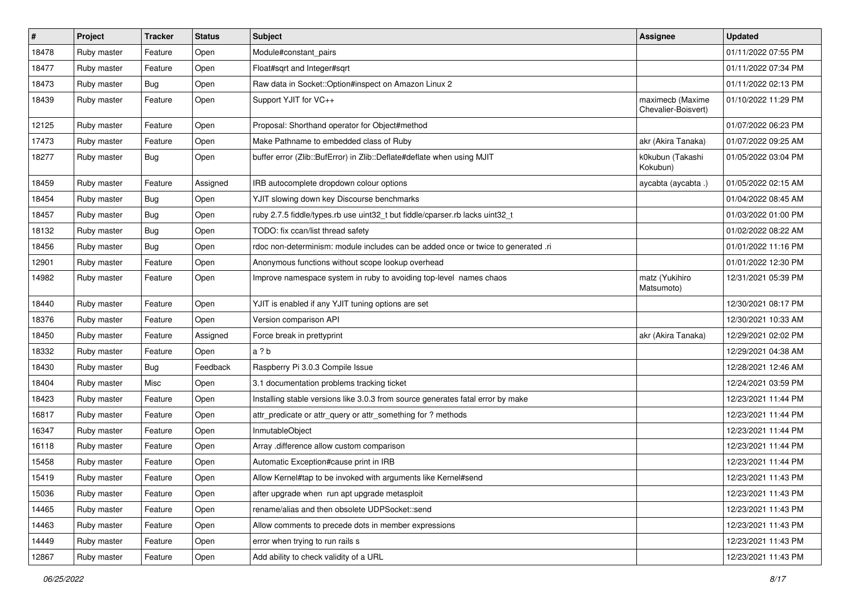| $\sharp$ | Project     | <b>Tracker</b> | <b>Status</b> | <b>Subject</b>                                                                    | Assignee                                | <b>Updated</b>      |
|----------|-------------|----------------|---------------|-----------------------------------------------------------------------------------|-----------------------------------------|---------------------|
| 18478    | Ruby master | Feature        | Open          | Module#constant_pairs                                                             |                                         | 01/11/2022 07:55 PM |
| 18477    | Ruby master | Feature        | Open          | Float#sqrt and Integer#sqrt                                                       |                                         | 01/11/2022 07:34 PM |
| 18473    | Ruby master | Bug            | Open          | Raw data in Socket:: Option#inspect on Amazon Linux 2                             |                                         | 01/11/2022 02:13 PM |
| 18439    | Ruby master | Feature        | Open          | Support YJIT for VC++                                                             | maximecb (Maxime<br>Chevalier-Boisvert) | 01/10/2022 11:29 PM |
| 12125    | Ruby master | Feature        | Open          | Proposal: Shorthand operator for Object#method                                    |                                         | 01/07/2022 06:23 PM |
| 17473    | Ruby master | Feature        | Open          | Make Pathname to embedded class of Ruby                                           | akr (Akira Tanaka)                      | 01/07/2022 09:25 AM |
| 18277    | Ruby master | Bug            | Open          | buffer error (Zlib::BufError) in Zlib::Deflate#deflate when using MJIT            | k0kubun (Takashi<br>Kokubun)            | 01/05/2022 03:04 PM |
| 18459    | Ruby master | Feature        | Assigned      | IRB autocomplete dropdown colour options                                          | aycabta (aycabta .)                     | 01/05/2022 02:15 AM |
| 18454    | Ruby master | Bug            | Open          | YJIT slowing down key Discourse benchmarks                                        |                                         | 01/04/2022 08:45 AM |
| 18457    | Ruby master | <b>Bug</b>     | Open          | ruby 2.7.5 fiddle/types.rb use uint32_t but fiddle/cparser.rb lacks uint32_t      |                                         | 01/03/2022 01:00 PM |
| 18132    | Ruby master | Bug            | Open          | TODO: fix ccan/list thread safety                                                 |                                         | 01/02/2022 08:22 AM |
| 18456    | Ruby master | Bug            | Open          | rdoc non-determinism: module includes can be added once or twice to generated .ri |                                         | 01/01/2022 11:16 PM |
| 12901    | Ruby master | Feature        | Open          | Anonymous functions without scope lookup overhead                                 |                                         | 01/01/2022 12:30 PM |
| 14982    | Ruby master | Feature        | Open          | Improve namespace system in ruby to avoiding top-level names chaos                | matz (Yukihiro<br>Matsumoto)            | 12/31/2021 05:39 PM |
| 18440    | Ruby master | Feature        | Open          | YJIT is enabled if any YJIT tuning options are set                                |                                         | 12/30/2021 08:17 PM |
| 18376    | Ruby master | Feature        | Open          | Version comparison API                                                            |                                         | 12/30/2021 10:33 AM |
| 18450    | Ruby master | Feature        | Assigned      | Force break in prettyprint                                                        | akr (Akira Tanaka)                      | 12/29/2021 02:02 PM |
| 18332    | Ruby master | Feature        | Open          | a ? b                                                                             |                                         | 12/29/2021 04:38 AM |
| 18430    | Ruby master | <b>Bug</b>     | Feedback      | Raspberry Pi 3.0.3 Compile Issue                                                  |                                         | 12/28/2021 12:46 AM |
| 18404    | Ruby master | Misc           | Open          | 3.1 documentation problems tracking ticket                                        |                                         | 12/24/2021 03:59 PM |
| 18423    | Ruby master | Feature        | Open          | Installing stable versions like 3.0.3 from source generates fatal error by make   |                                         | 12/23/2021 11:44 PM |
| 16817    | Ruby master | Feature        | Open          | attr_predicate or attr_query or attr_something for ? methods                      |                                         | 12/23/2021 11:44 PM |
| 16347    | Ruby master | Feature        | Open          | InmutableObject                                                                   |                                         | 12/23/2021 11:44 PM |
| 16118    | Ruby master | Feature        | Open          | Array .difference allow custom comparison                                         |                                         | 12/23/2021 11:44 PM |
| 15458    | Ruby master | Feature        | Open          | Automatic Exception#cause print in IRB                                            |                                         | 12/23/2021 11:44 PM |
| 15419    | Ruby master | Feature        | Open          | Allow Kernel#tap to be invoked with arguments like Kernel#send                    |                                         | 12/23/2021 11:43 PM |
| 15036    | Ruby master | Feature        | Open          | after upgrade when run apt upgrade metasploit                                     |                                         | 12/23/2021 11:43 PM |
| 14465    | Ruby master | Feature        | Open          | rename/alias and then obsolete UDPSocket::send                                    |                                         | 12/23/2021 11:43 PM |
| 14463    | Ruby master | Feature        | Open          | Allow comments to precede dots in member expressions                              |                                         | 12/23/2021 11:43 PM |
| 14449    | Ruby master | Feature        | Open          | error when trying to run rails s                                                  |                                         | 12/23/2021 11:43 PM |
| 12867    | Ruby master | Feature        | Open          | Add ability to check validity of a URL                                            |                                         | 12/23/2021 11:43 PM |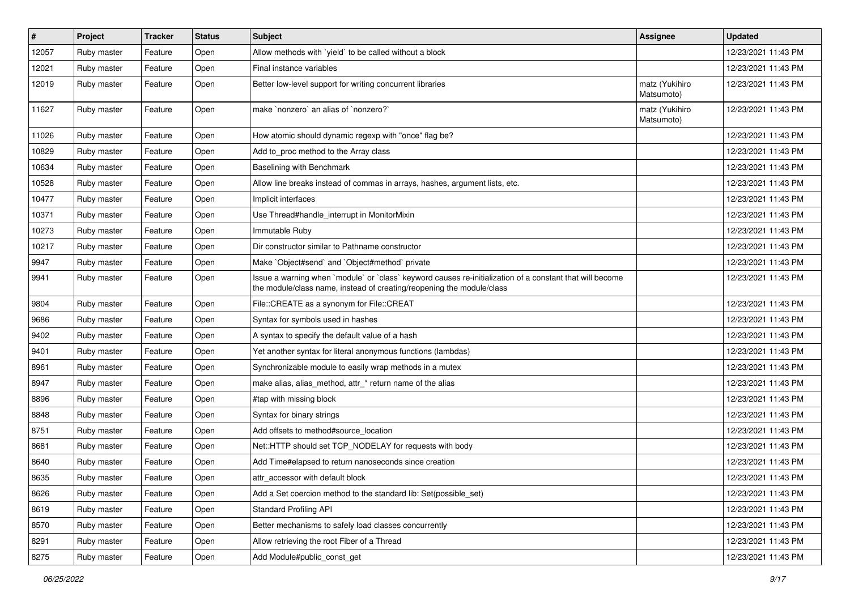| $\sharp$ | Project     | <b>Tracker</b> | <b>Status</b> | Subject                                                                                                                                                                           | <b>Assignee</b>              | <b>Updated</b>      |
|----------|-------------|----------------|---------------|-----------------------------------------------------------------------------------------------------------------------------------------------------------------------------------|------------------------------|---------------------|
| 12057    | Ruby master | Feature        | Open          | Allow methods with `yield` to be called without a block                                                                                                                           |                              | 12/23/2021 11:43 PM |
| 12021    | Ruby master | Feature        | Open          | Final instance variables                                                                                                                                                          |                              | 12/23/2021 11:43 PM |
| 12019    | Ruby master | Feature        | Open          | Better low-level support for writing concurrent libraries                                                                                                                         | matz (Yukihiro<br>Matsumoto) | 12/23/2021 11:43 PM |
| 11627    | Ruby master | Feature        | Open          | make `nonzero` an alias of `nonzero?`                                                                                                                                             | matz (Yukihiro<br>Matsumoto) | 12/23/2021 11:43 PM |
| 11026    | Ruby master | Feature        | Open          | How atomic should dynamic regexp with "once" flag be?                                                                                                                             |                              | 12/23/2021 11:43 PM |
| 10829    | Ruby master | Feature        | Open          | Add to proc method to the Array class                                                                                                                                             |                              | 12/23/2021 11:43 PM |
| 10634    | Ruby master | Feature        | Open          | Baselining with Benchmark                                                                                                                                                         |                              | 12/23/2021 11:43 PM |
| 10528    | Ruby master | Feature        | Open          | Allow line breaks instead of commas in arrays, hashes, argument lists, etc.                                                                                                       |                              | 12/23/2021 11:43 PM |
| 10477    | Ruby master | Feature        | Open          | Implicit interfaces                                                                                                                                                               |                              | 12/23/2021 11:43 PM |
| 10371    | Ruby master | Feature        | Open          | Use Thread#handle_interrupt in MonitorMixin                                                                                                                                       |                              | 12/23/2021 11:43 PM |
| 10273    | Ruby master | Feature        | Open          | Immutable Ruby                                                                                                                                                                    |                              | 12/23/2021 11:43 PM |
| 10217    | Ruby master | Feature        | Open          | Dir constructor similar to Pathname constructor                                                                                                                                   |                              | 12/23/2021 11:43 PM |
| 9947     | Ruby master | Feature        | Open          | Make `Object#send` and `Object#method` private                                                                                                                                    |                              | 12/23/2021 11:43 PM |
| 9941     | Ruby master | Feature        | Open          | Issue a warning when 'module' or 'class' keyword causes re-initialization of a constant that will become<br>the module/class name, instead of creating/reopening the module/class |                              | 12/23/2021 11:43 PM |
| 9804     | Ruby master | Feature        | Open          | File::CREATE as a synonym for File::CREAT                                                                                                                                         |                              | 12/23/2021 11:43 PM |
| 9686     | Ruby master | Feature        | Open          | Syntax for symbols used in hashes                                                                                                                                                 |                              | 12/23/2021 11:43 PM |
| 9402     | Ruby master | Feature        | Open          | A syntax to specify the default value of a hash                                                                                                                                   |                              | 12/23/2021 11:43 PM |
| 9401     | Ruby master | Feature        | Open          | Yet another syntax for literal anonymous functions (lambdas)                                                                                                                      |                              | 12/23/2021 11:43 PM |
| 8961     | Ruby master | Feature        | Open          | Synchronizable module to easily wrap methods in a mutex                                                                                                                           |                              | 12/23/2021 11:43 PM |
| 8947     | Ruby master | Feature        | Open          | make alias, alias_method, attr_* return name of the alias                                                                                                                         |                              | 12/23/2021 11:43 PM |
| 8896     | Ruby master | Feature        | Open          | #tap with missing block                                                                                                                                                           |                              | 12/23/2021 11:43 PM |
| 8848     | Ruby master | Feature        | Open          | Syntax for binary strings                                                                                                                                                         |                              | 12/23/2021 11:43 PM |
| 8751     | Ruby master | Feature        | Open          | Add offsets to method#source_location                                                                                                                                             |                              | 12/23/2021 11:43 PM |
| 8681     | Ruby master | Feature        | Open          | Net::HTTP should set TCP_NODELAY for requests with body                                                                                                                           |                              | 12/23/2021 11:43 PM |
| 8640     | Ruby master | Feature        | Open          | Add Time#elapsed to return nanoseconds since creation                                                                                                                             |                              | 12/23/2021 11:43 PM |
| 8635     | Ruby master | Feature        | Open          | attr_accessor with default block                                                                                                                                                  |                              | 12/23/2021 11:43 PM |
| 8626     | Ruby master | Feature        | Open          | Add a Set coercion method to the standard lib: Set(possible_set)                                                                                                                  |                              | 12/23/2021 11:43 PM |
| 8619     | Ruby master | Feature        | Open          | <b>Standard Profiling API</b>                                                                                                                                                     |                              | 12/23/2021 11:43 PM |
| 8570     | Ruby master | Feature        | Open          | Better mechanisms to safely load classes concurrently                                                                                                                             |                              | 12/23/2021 11:43 PM |
| 8291     | Ruby master | Feature        | Open          | Allow retrieving the root Fiber of a Thread                                                                                                                                       |                              | 12/23/2021 11:43 PM |
| 8275     | Ruby master | Feature        | Open          | Add Module#public_const_get                                                                                                                                                       |                              | 12/23/2021 11:43 PM |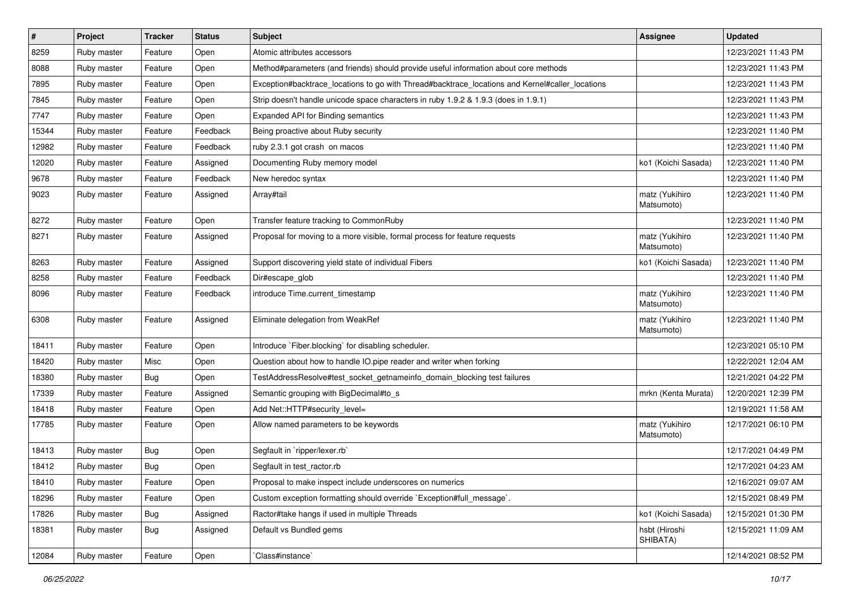| $\pmb{\#}$ | Project     | <b>Tracker</b> | <b>Status</b> | Subject                                                                                         | Assignee                     | <b>Updated</b>      |
|------------|-------------|----------------|---------------|-------------------------------------------------------------------------------------------------|------------------------------|---------------------|
| 8259       | Ruby master | Feature        | Open          | Atomic attributes accessors                                                                     |                              | 12/23/2021 11:43 PM |
| 8088       | Ruby master | Feature        | Open          | Method#parameters (and friends) should provide useful information about core methods            |                              | 12/23/2021 11:43 PM |
| 7895       | Ruby master | Feature        | Open          | Exception#backtrace_locations to go with Thread#backtrace_locations and Kernel#caller_locations |                              | 12/23/2021 11:43 PM |
| 7845       | Ruby master | Feature        | Open          | Strip doesn't handle unicode space characters in ruby 1.9.2 & 1.9.3 (does in 1.9.1)             |                              | 12/23/2021 11:43 PM |
| 7747       | Ruby master | Feature        | Open          | Expanded API for Binding semantics                                                              |                              | 12/23/2021 11:43 PM |
| 15344      | Ruby master | Feature        | Feedback      | Being proactive about Ruby security                                                             |                              | 12/23/2021 11:40 PM |
| 12982      | Ruby master | Feature        | Feedback      | ruby 2.3.1 got crash on macos                                                                   |                              | 12/23/2021 11:40 PM |
| 12020      | Ruby master | Feature        | Assigned      | Documenting Ruby memory model                                                                   | ko1 (Koichi Sasada)          | 12/23/2021 11:40 PM |
| 9678       | Ruby master | Feature        | Feedback      | New heredoc syntax                                                                              |                              | 12/23/2021 11:40 PM |
| 9023       | Ruby master | Feature        | Assigned      | Array#tail                                                                                      | matz (Yukihiro<br>Matsumoto) | 12/23/2021 11:40 PM |
| 8272       | Ruby master | Feature        | Open          | Transfer feature tracking to CommonRuby                                                         |                              | 12/23/2021 11:40 PM |
| 8271       | Ruby master | Feature        | Assigned      | Proposal for moving to a more visible, formal process for feature requests                      | matz (Yukihiro<br>Matsumoto) | 12/23/2021 11:40 PM |
| 8263       | Ruby master | Feature        | Assigned      | Support discovering yield state of individual Fibers                                            | ko1 (Koichi Sasada)          | 12/23/2021 11:40 PM |
| 8258       | Ruby master | Feature        | Feedback      | Dir#escape_glob                                                                                 |                              | 12/23/2021 11:40 PM |
| 8096       | Ruby master | Feature        | Feedback      | introduce Time.current timestamp                                                                | matz (Yukihiro<br>Matsumoto) | 12/23/2021 11:40 PM |
| 6308       | Ruby master | Feature        | Assigned      | Eliminate delegation from WeakRef                                                               | matz (Yukihiro<br>Matsumoto) | 12/23/2021 11:40 PM |
| 18411      | Ruby master | Feature        | Open          | Introduce `Fiber.blocking` for disabling scheduler.                                             |                              | 12/23/2021 05:10 PM |
| 18420      | Ruby master | Misc           | Open          | Question about how to handle IO.pipe reader and writer when forking                             |                              | 12/22/2021 12:04 AM |
| 18380      | Ruby master | Bug            | Open          | TestAddressResolve#test_socket_getnameinfo_domain_blocking test failures                        |                              | 12/21/2021 04:22 PM |
| 17339      | Ruby master | Feature        | Assigned      | Semantic grouping with BigDecimal#to_s                                                          | mrkn (Kenta Murata)          | 12/20/2021 12:39 PM |
| 18418      | Ruby master | Feature        | Open          | Add Net::HTTP#security_level=                                                                   |                              | 12/19/2021 11:58 AM |
| 17785      | Ruby master | Feature        | Open          | Allow named parameters to be keywords                                                           | matz (Yukihiro<br>Matsumoto) | 12/17/2021 06:10 PM |
| 18413      | Ruby master | <b>Bug</b>     | Open          | Segfault in `ripper/lexer.rb`                                                                   |                              | 12/17/2021 04:49 PM |
| 18412      | Ruby master | <b>Bug</b>     | Open          | Segfault in test_ractor.rb                                                                      |                              | 12/17/2021 04:23 AM |
| 18410      | Ruby master | Feature        | Open          | Proposal to make inspect include underscores on numerics                                        |                              | 12/16/2021 09:07 AM |
| 18296      | Ruby master | Feature        | Open          | Custom exception formatting should override `Exception#full_message`.                           |                              | 12/15/2021 08:49 PM |
| 17826      | Ruby master | <b>Bug</b>     | Assigned      | Ractor#take hangs if used in multiple Threads                                                   | ko1 (Koichi Sasada)          | 12/15/2021 01:30 PM |
| 18381      | Ruby master | Bug            | Assigned      | Default vs Bundled gems                                                                         | hsbt (Hiroshi<br>SHIBATA)    | 12/15/2021 11:09 AM |
| 12084      | Ruby master | Feature        | Open          | Class#instance`                                                                                 |                              | 12/14/2021 08:52 PM |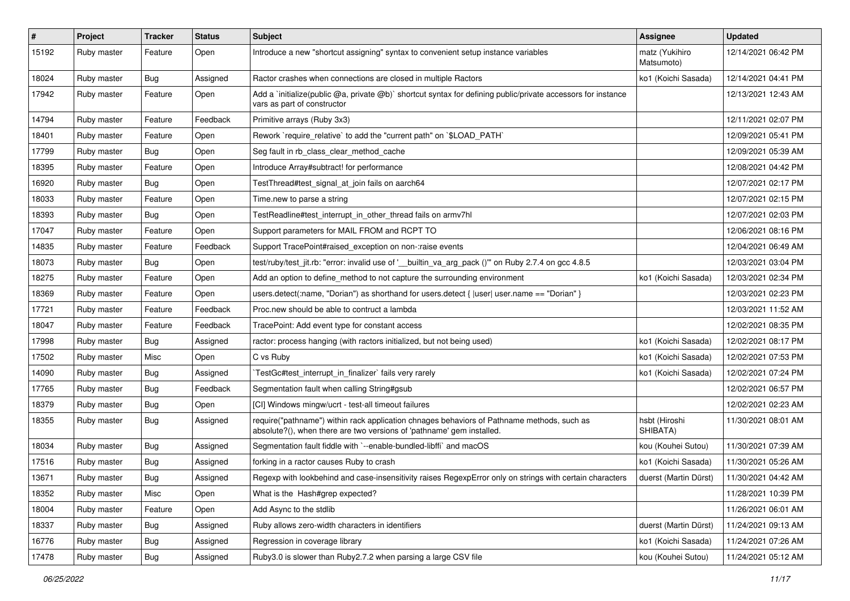| $\sharp$ | Project     | <b>Tracker</b> | <b>Status</b> | Subject                                                                                                                                                             | Assignee                     | <b>Updated</b>      |
|----------|-------------|----------------|---------------|---------------------------------------------------------------------------------------------------------------------------------------------------------------------|------------------------------|---------------------|
| 15192    | Ruby master | Feature        | Open          | Introduce a new "shortcut assigning" syntax to convenient setup instance variables                                                                                  | matz (Yukihiro<br>Matsumoto) | 12/14/2021 06:42 PM |
| 18024    | Ruby master | Bug            | Assigned      | Ractor crashes when connections are closed in multiple Ractors                                                                                                      | ko1 (Koichi Sasada)          | 12/14/2021 04:41 PM |
| 17942    | Ruby master | Feature        | Open          | Add a 'initialize(public @a, private @b)' shortcut syntax for defining public/private accessors for instance<br>vars as part of constructor                         |                              | 12/13/2021 12:43 AM |
| 14794    | Ruby master | Feature        | Feedback      | Primitive arrays (Ruby 3x3)                                                                                                                                         |                              | 12/11/2021 02:07 PM |
| 18401    | Ruby master | Feature        | Open          | Rework `require relative` to add the "current path" on `\$LOAD PATH`                                                                                                |                              | 12/09/2021 05:41 PM |
| 17799    | Ruby master | Bug            | Open          | Seg fault in rb_class_clear_method_cache                                                                                                                            |                              | 12/09/2021 05:39 AM |
| 18395    | Ruby master | Feature        | Open          | Introduce Array#subtract! for performance                                                                                                                           |                              | 12/08/2021 04:42 PM |
| 16920    | Ruby master | Bug            | Open          | TestThread#test_signal_at_join fails on aarch64                                                                                                                     |                              | 12/07/2021 02:17 PM |
| 18033    | Ruby master | Feature        | Open          | Time.new to parse a string                                                                                                                                          |                              | 12/07/2021 02:15 PM |
| 18393    | Ruby master | Bug            | Open          | TestReadline#test interrupt in other thread fails on armv7hl                                                                                                        |                              | 12/07/2021 02:03 PM |
| 17047    | Ruby master | Feature        | Open          | Support parameters for MAIL FROM and RCPT TO                                                                                                                        |                              | 12/06/2021 08:16 PM |
| 14835    | Ruby master | Feature        | Feedback      | Support TracePoint#raised exception on non-:raise events                                                                                                            |                              | 12/04/2021 06:49 AM |
| 18073    | Ruby master | Bug            | Open          | test/ruby/test_jit.rb: "error: invalid use of '__builtin_va_arg_pack ()" on Ruby 2.7.4 on gcc 4.8.5                                                                 |                              | 12/03/2021 03:04 PM |
| 18275    | Ruby master | Feature        | Open          | Add an option to define method to not capture the surrounding environment                                                                                           | ko1 (Koichi Sasada)          | 12/03/2021 02:34 PM |
| 18369    | Ruby master | Feature        | Open          | users.detect(:name, "Dorian") as shorthand for users.detect { $ user $ user.name == "Dorian" }                                                                      |                              | 12/03/2021 02:23 PM |
| 17721    | Ruby master | Feature        | Feedback      | Proc.new should be able to contruct a lambda                                                                                                                        |                              | 12/03/2021 11:52 AM |
| 18047    | Ruby master | Feature        | Feedback      | TracePoint: Add event type for constant access                                                                                                                      |                              | 12/02/2021 08:35 PM |
| 17998    | Ruby master | Bug            | Assigned      | ractor: process hanging (with ractors initialized, but not being used)                                                                                              | ko1 (Koichi Sasada)          | 12/02/2021 08:17 PM |
| 17502    | Ruby master | Misc           | Open          | C vs Ruby                                                                                                                                                           | ko1 (Koichi Sasada)          | 12/02/2021 07:53 PM |
| 14090    | Ruby master | Bug            | Assigned      | TestGc#test_interrupt_in_finalizer` fails very rarely                                                                                                               | ko1 (Koichi Sasada)          | 12/02/2021 07:24 PM |
| 17765    | Ruby master | Bug            | Feedback      | Segmentation fault when calling String#gsub                                                                                                                         |                              | 12/02/2021 06:57 PM |
| 18379    | Ruby master | <b>Bug</b>     | Open          | [CI] Windows mingw/ucrt - test-all timeout failures                                                                                                                 |                              | 12/02/2021 02:23 AM |
| 18355    | Ruby master | Bug            | Assigned      | require("pathname") within rack application chnages behaviors of Pathname methods, such as<br>absolute?(), when there are two versions of 'pathname' gem installed. | hsbt (Hiroshi<br>SHIBATA)    | 11/30/2021 08:01 AM |
| 18034    | Ruby master | Bug            | Assigned      | Segmentation fault fiddle with `--enable-bundled-libffi` and macOS                                                                                                  | kou (Kouhei Sutou)           | 11/30/2021 07:39 AM |
| 17516    | Ruby master | Bug            | Assigned      | forking in a ractor causes Ruby to crash                                                                                                                            | ko1 (Koichi Sasada)          | 11/30/2021 05:26 AM |
| 13671    | Ruby master | Bug            | Assigned      | Regexp with lookbehind and case-insensitivity raises RegexpError only on strings with certain characters                                                            | duerst (Martin Dürst)        | 11/30/2021 04:42 AM |
| 18352    | Ruby master | Misc           | Open          | What is the Hash#grep expected?                                                                                                                                     |                              | 11/28/2021 10:39 PM |
| 18004    | Ruby master | Feature        | Open          | Add Async to the stdlib                                                                                                                                             |                              | 11/26/2021 06:01 AM |
| 18337    | Ruby master | Bug            | Assigned      | Ruby allows zero-width characters in identifiers                                                                                                                    | duerst (Martin Dürst)        | 11/24/2021 09:13 AM |
| 16776    | Ruby master | Bug            | Assigned      | Regression in coverage library                                                                                                                                      | ko1 (Koichi Sasada)          | 11/24/2021 07:26 AM |
| 17478    | Ruby master | <b>Bug</b>     | Assigned      | Ruby3.0 is slower than Ruby2.7.2 when parsing a large CSV file                                                                                                      | kou (Kouhei Sutou)           | 11/24/2021 05:12 AM |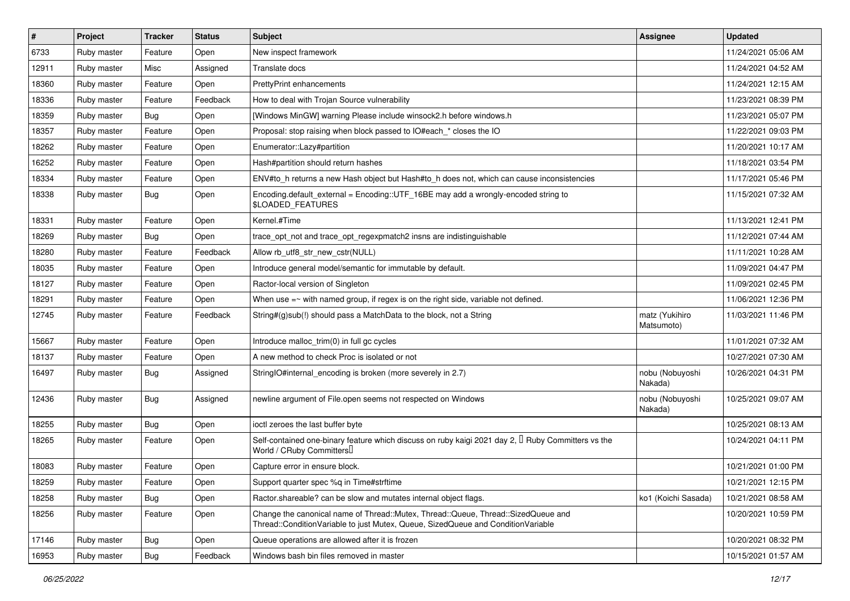| $\vert$ # | Project     | <b>Tracker</b> | <b>Status</b> | Subject                                                                                                                                                               | <b>Assignee</b>              | <b>Updated</b>      |
|-----------|-------------|----------------|---------------|-----------------------------------------------------------------------------------------------------------------------------------------------------------------------|------------------------------|---------------------|
| 6733      | Ruby master | Feature        | Open          | New inspect framework                                                                                                                                                 |                              | 11/24/2021 05:06 AM |
| 12911     | Ruby master | Misc           | Assigned      | Translate docs                                                                                                                                                        |                              | 11/24/2021 04:52 AM |
| 18360     | Ruby master | Feature        | Open          | <b>PrettyPrint enhancements</b>                                                                                                                                       |                              | 11/24/2021 12:15 AM |
| 18336     | Ruby master | Feature        | Feedback      | How to deal with Trojan Source vulnerability                                                                                                                          |                              | 11/23/2021 08:39 PM |
| 18359     | Ruby master | <b>Bug</b>     | Open          | [Windows MinGW] warning Please include winsock2.h before windows.h                                                                                                    |                              | 11/23/2021 05:07 PM |
| 18357     | Ruby master | Feature        | Open          | Proposal: stop raising when block passed to IO#each_* closes the IO                                                                                                   |                              | 11/22/2021 09:03 PM |
| 18262     | Ruby master | Feature        | Open          | Enumerator::Lazy#partition                                                                                                                                            |                              | 11/20/2021 10:17 AM |
| 16252     | Ruby master | Feature        | Open          | Hash#partition should return hashes                                                                                                                                   |                              | 11/18/2021 03:54 PM |
| 18334     | Ruby master | Feature        | Open          | ENV#to_h returns a new Hash object but Hash#to_h does not, which can cause inconsistencies                                                                            |                              | 11/17/2021 05:46 PM |
| 18338     | Ruby master | <b>Bug</b>     | Open          | Encoding.default_external = Encoding::UTF_16BE may add a wrongly-encoded string to<br>\$LOADED_FEATURES                                                               |                              | 11/15/2021 07:32 AM |
| 18331     | Ruby master | Feature        | Open          | Kernel.#Time                                                                                                                                                          |                              | 11/13/2021 12:41 PM |
| 18269     | Ruby master | <b>Bug</b>     | Open          | trace_opt_not and trace_opt_regexpmatch2 insns are indistinguishable                                                                                                  |                              | 11/12/2021 07:44 AM |
| 18280     | Ruby master | Feature        | Feedback      | Allow rb utf8 str new cstr(NULL)                                                                                                                                      |                              | 11/11/2021 10:28 AM |
| 18035     | Ruby master | Feature        | Open          | Introduce general model/semantic for immutable by default.                                                                                                            |                              | 11/09/2021 04:47 PM |
| 18127     | Ruby master | Feature        | Open          | Ractor-local version of Singleton                                                                                                                                     |                              | 11/09/2021 02:45 PM |
| 18291     | Ruby master | Feature        | Open          | When use $=\sim$ with named group, if regex is on the right side, variable not defined.                                                                               |                              | 11/06/2021 12:36 PM |
| 12745     | Ruby master | Feature        | Feedback      | String#(g)sub(!) should pass a MatchData to the block, not a String                                                                                                   | matz (Yukihiro<br>Matsumoto) | 11/03/2021 11:46 PM |
| 15667     | Ruby master | Feature        | Open          | Introduce malloc_trim(0) in full gc cycles                                                                                                                            |                              | 11/01/2021 07:32 AM |
| 18137     | Ruby master | Feature        | Open          | A new method to check Proc is isolated or not                                                                                                                         |                              | 10/27/2021 07:30 AM |
| 16497     | Ruby master | Bug            | Assigned      | StringIO#internal_encoding is broken (more severely in 2.7)                                                                                                           | nobu (Nobuyoshi<br>Nakada)   | 10/26/2021 04:31 PM |
| 12436     | Ruby master | <b>Bug</b>     | Assigned      | newline argument of File.open seems not respected on Windows                                                                                                          | nobu (Nobuyoshi<br>Nakada)   | 10/25/2021 09:07 AM |
| 18255     | Ruby master | <b>Bug</b>     | Open          | ioctl zeroes the last buffer byte                                                                                                                                     |                              | 10/25/2021 08:13 AM |
| 18265     | Ruby master | Feature        | Open          | Self-contained one-binary feature which discuss on ruby kaigi 2021 day 2, $\Box$ Ruby Committers vs the<br>World / CRuby Committers                                   |                              | 10/24/2021 04:11 PM |
| 18083     | Ruby master | Feature        | Open          | Capture error in ensure block.                                                                                                                                        |                              | 10/21/2021 01:00 PM |
| 18259     | Ruby master | Feature        | Open          | Support quarter spec %q in Time#strftime                                                                                                                              |                              | 10/21/2021 12:15 PM |
| 18258     | Ruby master | Bug            | Open          | Ractor.shareable? can be slow and mutates internal object flags.                                                                                                      | ko1 (Koichi Sasada)          | 10/21/2021 08:58 AM |
| 18256     | Ruby master | Feature        | Open          | Change the canonical name of Thread::Mutex, Thread::Queue, Thread::SizedQueue and<br>Thread::ConditionVariable to just Mutex, Queue, SizedQueue and ConditionVariable |                              | 10/20/2021 10:59 PM |
| 17146     | Ruby master | <b>Bug</b>     | Open          | Queue operations are allowed after it is frozen                                                                                                                       |                              | 10/20/2021 08:32 PM |
| 16953     | Ruby master | <b>Bug</b>     | Feedback      | Windows bash bin files removed in master                                                                                                                              |                              | 10/15/2021 01:57 AM |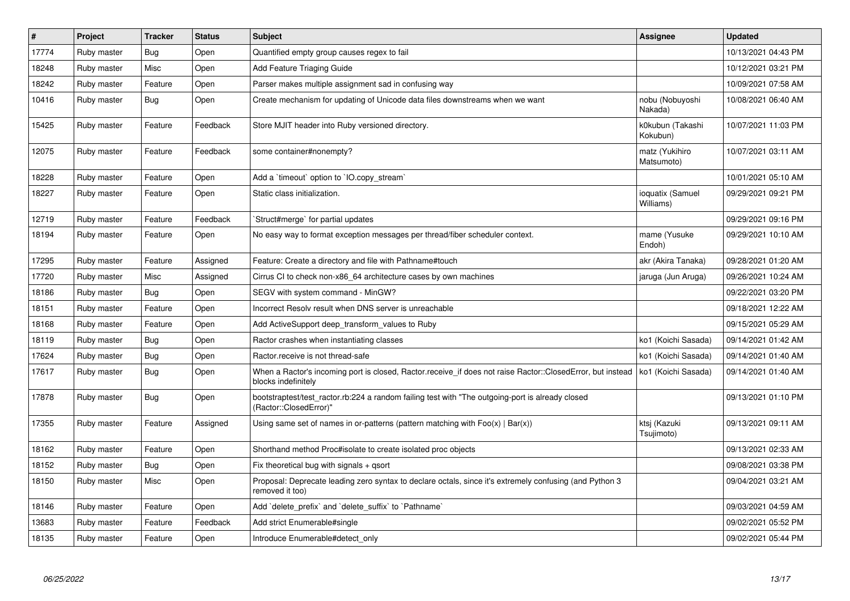| $\vert$ # | Project     | <b>Tracker</b> | <b>Status</b> | <b>Subject</b>                                                                                                                    | Assignee                      | <b>Updated</b>      |
|-----------|-------------|----------------|---------------|-----------------------------------------------------------------------------------------------------------------------------------|-------------------------------|---------------------|
| 17774     | Ruby master | Bug            | Open          | Quantified empty group causes regex to fail                                                                                       |                               | 10/13/2021 04:43 PM |
| 18248     | Ruby master | Misc           | Open          | Add Feature Triaging Guide                                                                                                        |                               | 10/12/2021 03:21 PM |
| 18242     | Ruby master | Feature        | Open          | Parser makes multiple assignment sad in confusing way                                                                             |                               | 10/09/2021 07:58 AM |
| 10416     | Ruby master | <b>Bug</b>     | Open          | Create mechanism for updating of Unicode data files downstreams when we want                                                      | nobu (Nobuyoshi<br>Nakada)    | 10/08/2021 06:40 AM |
| 15425     | Ruby master | Feature        | Feedback      | Store MJIT header into Ruby versioned directory.                                                                                  | k0kubun (Takashi<br>Kokubun)  | 10/07/2021 11:03 PM |
| 12075     | Ruby master | Feature        | Feedback      | some container#nonempty?                                                                                                          | matz (Yukihiro<br>Matsumoto)  | 10/07/2021 03:11 AM |
| 18228     | Ruby master | Feature        | Open          | Add a 'timeout' option to 'IO.copy stream'                                                                                        |                               | 10/01/2021 05:10 AM |
| 18227     | Ruby master | Feature        | Open          | Static class initialization.                                                                                                      | ioquatix (Samuel<br>Williams) | 09/29/2021 09:21 PM |
| 12719     | Ruby master | Feature        | Feedback      | Struct#merge` for partial updates                                                                                                 |                               | 09/29/2021 09:16 PM |
| 18194     | Ruby master | Feature        | Open          | No easy way to format exception messages per thread/fiber scheduler context.                                                      | mame (Yusuke<br>Endoh)        | 09/29/2021 10:10 AM |
| 17295     | Ruby master | Feature        | Assigned      | Feature: Create a directory and file with Pathname#touch                                                                          | akr (Akira Tanaka)            | 09/28/2021 01:20 AM |
| 17720     | Ruby master | Misc           | Assigned      | Cirrus CI to check non-x86 64 architecture cases by own machines                                                                  | jaruga (Jun Aruga)            | 09/26/2021 10:24 AM |
| 18186     | Ruby master | <b>Bug</b>     | Open          | SEGV with system command - MinGW?                                                                                                 |                               | 09/22/2021 03:20 PM |
| 18151     | Ruby master | Feature        | Open          | Incorrect Resolv result when DNS server is unreachable                                                                            |                               | 09/18/2021 12:22 AM |
| 18168     | Ruby master | Feature        | Open          | Add ActiveSupport deep transform values to Ruby                                                                                   |                               | 09/15/2021 05:29 AM |
| 18119     | Ruby master | <b>Bug</b>     | Open          | Ractor crashes when instantiating classes                                                                                         | ko1 (Koichi Sasada)           | 09/14/2021 01:42 AM |
| 17624     | Ruby master | <b>Bug</b>     | Open          | Ractor.receive is not thread-safe                                                                                                 | ko1 (Koichi Sasada)           | 09/14/2021 01:40 AM |
| 17617     | Ruby master | Bug            | Open          | When a Ractor's incoming port is closed, Ractor receive if does not raise Ractor::ClosedError, but instead<br>blocks indefinitely | ko1 (Koichi Sasada)           | 09/14/2021 01:40 AM |
| 17878     | Ruby master | <b>Bug</b>     | Open          | bootstraptest/test_ractor.rb:224 a random failing test with "The outgoing-port is already closed<br>(Ractor::ClosedError)'        |                               | 09/13/2021 01:10 PM |
| 17355     | Ruby master | Feature        | Assigned      | Using same set of names in or-patterns (pattern matching with $Foo(x)   Bar(x)$ )                                                 | ktsj (Kazuki<br>Tsujimoto)    | 09/13/2021 09:11 AM |
| 18162     | Ruby master | Feature        | Open          | Shorthand method Proc#isolate to create isolated proc objects                                                                     |                               | 09/13/2021 02:33 AM |
| 18152     | Ruby master | Bug            | Open          | Fix theoretical bug with signals $+$ qsort                                                                                        |                               | 09/08/2021 03:38 PM |
| 18150     | Ruby master | Misc           | Open          | Proposal: Deprecate leading zero syntax to declare octals, since it's extremely confusing (and Python 3<br>removed it too)        |                               | 09/04/2021 03:21 AM |
| 18146     | Ruby master | Feature        | Open          | Add `delete prefix` and `delete suffix` to `Pathname`                                                                             |                               | 09/03/2021 04:59 AM |
| 13683     | Ruby master | Feature        | Feedback      | Add strict Enumerable#single                                                                                                      |                               | 09/02/2021 05:52 PM |
| 18135     | Ruby master | Feature        | Open          | Introduce Enumerable#detect only                                                                                                  |                               | 09/02/2021 05:44 PM |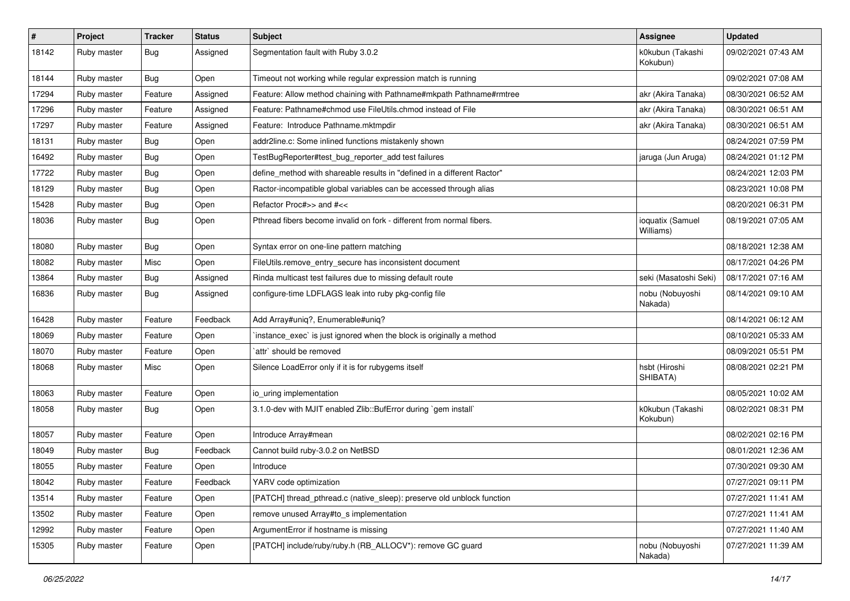| $\sharp$ | Project     | <b>Tracker</b> | <b>Status</b> | <b>Subject</b>                                                          | Assignee                      | <b>Updated</b>      |
|----------|-------------|----------------|---------------|-------------------------------------------------------------------------|-------------------------------|---------------------|
| 18142    | Ruby master | Bug            | Assigned      | Segmentation fault with Ruby 3.0.2                                      | k0kubun (Takashi<br>Kokubun)  | 09/02/2021 07:43 AM |
| 18144    | Ruby master | Bug            | Open          | Timeout not working while regular expression match is running           |                               | 09/02/2021 07:08 AM |
| 17294    | Ruby master | Feature        | Assigned      | Feature: Allow method chaining with Pathname#mkpath Pathname#rmtree     | akr (Akira Tanaka)            | 08/30/2021 06:52 AM |
| 17296    | Ruby master | Feature        | Assigned      | Feature: Pathname#chmod use FileUtils.chmod instead of File             | akr (Akira Tanaka)            | 08/30/2021 06:51 AM |
| 17297    | Ruby master | Feature        | Assigned      | Feature: Introduce Pathname.mktmpdir                                    | akr (Akira Tanaka)            | 08/30/2021 06:51 AM |
| 18131    | Ruby master | <b>Bug</b>     | Open          | addr2line.c: Some inlined functions mistakenly shown                    |                               | 08/24/2021 07:59 PM |
| 16492    | Ruby master | Bug            | Open          | TestBugReporter#test_bug_reporter_add test failures                     | jaruga (Jun Aruga)            | 08/24/2021 01:12 PM |
| 17722    | Ruby master | Bug            | Open          | define_method with shareable results in "defined in a different Ractor" |                               | 08/24/2021 12:03 PM |
| 18129    | Ruby master | Bug            | Open          | Ractor-incompatible global variables can be accessed through alias      |                               | 08/23/2021 10:08 PM |
| 15428    | Ruby master | Bug            | Open          | Refactor Proc#>> and #<<                                                |                               | 08/20/2021 06:31 PM |
| 18036    | Ruby master | Bug            | Open          | Pthread fibers become invalid on fork - different from normal fibers.   | ioquatix (Samuel<br>Williams) | 08/19/2021 07:05 AM |
| 18080    | Ruby master | Bug            | Open          | Syntax error on one-line pattern matching                               |                               | 08/18/2021 12:38 AM |
| 18082    | Ruby master | Misc           | Open          | FileUtils.remove_entry_secure has inconsistent document                 |                               | 08/17/2021 04:26 PM |
| 13864    | Ruby master | Bug            | Assigned      | Rinda multicast test failures due to missing default route              | seki (Masatoshi Seki)         | 08/17/2021 07:16 AM |
| 16836    | Ruby master | Bug            | Assigned      | configure-time LDFLAGS leak into ruby pkg-config file                   | nobu (Nobuyoshi<br>Nakada)    | 08/14/2021 09:10 AM |
| 16428    | Ruby master | Feature        | Feedback      | Add Array#uniq?, Enumerable#uniq?                                       |                               | 08/14/2021 06:12 AM |
| 18069    | Ruby master | Feature        | Open          | instance_exec` is just ignored when the block is originally a method    |                               | 08/10/2021 05:33 AM |
| 18070    | Ruby master | Feature        | Open          | `attr` should be removed                                                |                               | 08/09/2021 05:51 PM |
| 18068    | Ruby master | Misc           | Open          | Silence LoadError only if it is for rubygems itself                     | hsbt (Hiroshi<br>SHIBATA)     | 08/08/2021 02:21 PM |
| 18063    | Ruby master | Feature        | Open          | io_uring implementation                                                 |                               | 08/05/2021 10:02 AM |
| 18058    | Ruby master | Bug            | Open          | 3.1.0-dev with MJIT enabled Zlib::BufError during `gem install`         | k0kubun (Takashi<br>Kokubun)  | 08/02/2021 08:31 PM |
| 18057    | Ruby master | Feature        | Open          | Introduce Array#mean                                                    |                               | 08/02/2021 02:16 PM |
| 18049    | Ruby master | <b>Bug</b>     | Feedback      | Cannot build ruby-3.0.2 on NetBSD                                       |                               | 08/01/2021 12:36 AM |
| 18055    | Ruby master | Feature        | Open          | Introduce                                                               |                               | 07/30/2021 09:30 AM |
| 18042    | Ruby master | Feature        | Feedback      | YARV code optimization                                                  |                               | 07/27/2021 09:11 PM |
| 13514    | Ruby master | Feature        | Open          | [PATCH] thread_pthread.c (native_sleep): preserve old unblock function  |                               | 07/27/2021 11:41 AM |
| 13502    | Ruby master | Feature        | Open          | remove unused Array#to_s implementation                                 |                               | 07/27/2021 11:41 AM |
| 12992    | Ruby master | Feature        | Open          | ArgumentError if hostname is missing                                    |                               | 07/27/2021 11:40 AM |
| 15305    | Ruby master | Feature        | Open          | [PATCH] include/ruby/ruby.h (RB_ALLOCV*): remove GC guard               | nobu (Nobuyoshi<br>Nakada)    | 07/27/2021 11:39 AM |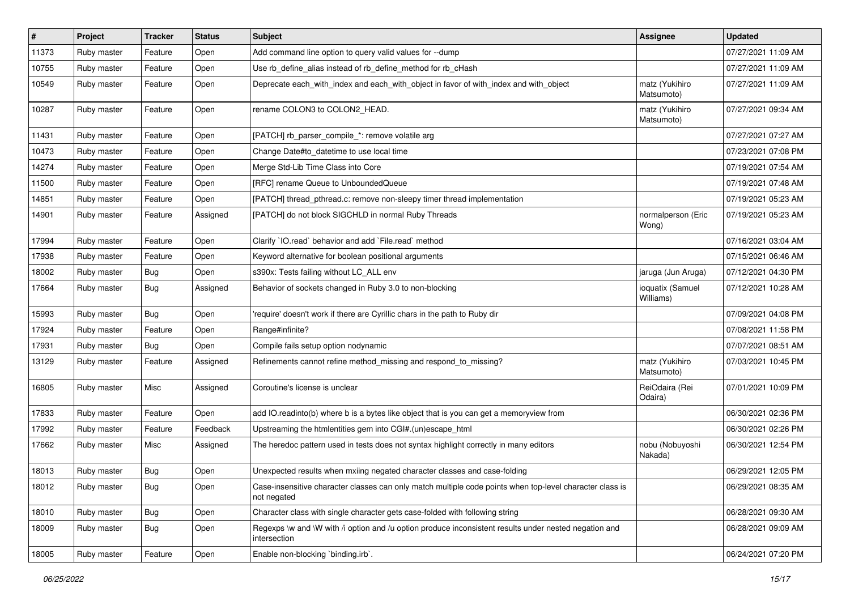| $\vert$ # | Project     | <b>Tracker</b> | <b>Status</b> | Subject                                                                                                                 | <b>Assignee</b>               | <b>Updated</b>      |
|-----------|-------------|----------------|---------------|-------------------------------------------------------------------------------------------------------------------------|-------------------------------|---------------------|
| 11373     | Ruby master | Feature        | Open          | Add command line option to query valid values for --dump                                                                |                               | 07/27/2021 11:09 AM |
| 10755     | Ruby master | Feature        | Open          | Use rb_define_alias instead of rb_define_method for rb_cHash                                                            |                               | 07/27/2021 11:09 AM |
| 10549     | Ruby master | Feature        | Open          | Deprecate each_with_index and each_with_object in favor of with_index and with_object                                   | matz (Yukihiro<br>Matsumoto)  | 07/27/2021 11:09 AM |
| 10287     | Ruby master | Feature        | Open          | rename COLON3 to COLON2_HEAD.                                                                                           | matz (Yukihiro<br>Matsumoto)  | 07/27/2021 09:34 AM |
| 11431     | Ruby master | Feature        | Open          | [PATCH] rb_parser_compile_*: remove volatile arg                                                                        |                               | 07/27/2021 07:27 AM |
| 10473     | Ruby master | Feature        | Open          | Change Date#to_datetime to use local time                                                                               |                               | 07/23/2021 07:08 PM |
| 14274     | Ruby master | Feature        | Open          | Merge Std-Lib Time Class into Core                                                                                      |                               | 07/19/2021 07:54 AM |
| 11500     | Ruby master | Feature        | Open          | [RFC] rename Queue to UnboundedQueue                                                                                    |                               | 07/19/2021 07:48 AM |
| 14851     | Ruby master | Feature        | Open          | [PATCH] thread pthread.c: remove non-sleepy timer thread implementation                                                 |                               | 07/19/2021 05:23 AM |
| 14901     | Ruby master | Feature        | Assigned      | [PATCH] do not block SIGCHLD in normal Ruby Threads                                                                     | normalperson (Eric<br>Wong)   | 07/19/2021 05:23 AM |
| 17994     | Ruby master | Feature        | Open          | Clarify 'IO.read' behavior and add 'File.read' method                                                                   |                               | 07/16/2021 03:04 AM |
| 17938     | Ruby master | Feature        | Open          | Keyword alternative for boolean positional arguments                                                                    |                               | 07/15/2021 06:46 AM |
| 18002     | Ruby master | <b>Bug</b>     | Open          | s390x: Tests failing without LC_ALL env                                                                                 | jaruga (Jun Aruga)            | 07/12/2021 04:30 PM |
| 17664     | Ruby master | Bug            | Assigned      | Behavior of sockets changed in Ruby 3.0 to non-blocking                                                                 | ioquatix (Samuel<br>Williams) | 07/12/2021 10:28 AM |
| 15993     | Ruby master | Bug            | Open          | 'require' doesn't work if there are Cyrillic chars in the path to Ruby dir                                              |                               | 07/09/2021 04:08 PM |
| 17924     | Ruby master | Feature        | Open          | Range#infinite?                                                                                                         |                               | 07/08/2021 11:58 PM |
| 17931     | Ruby master | <b>Bug</b>     | Open          | Compile fails setup option nodynamic                                                                                    |                               | 07/07/2021 08:51 AM |
| 13129     | Ruby master | Feature        | Assigned      | Refinements cannot refine method_missing and respond_to_missing?                                                        | matz (Yukihiro<br>Matsumoto)  | 07/03/2021 10:45 PM |
| 16805     | Ruby master | Misc           | Assigned      | Coroutine's license is unclear                                                                                          | ReiOdaira (Rei<br>Odaira)     | 07/01/2021 10:09 PM |
| 17833     | Ruby master | Feature        | Open          | add IO.readinto(b) where b is a bytes like object that is you can get a memoryview from                                 |                               | 06/30/2021 02:36 PM |
| 17992     | Ruby master | Feature        | Feedback      | Upstreaming the htmlentities gem into CGI#.(un)escape_html                                                              |                               | 06/30/2021 02:26 PM |
| 17662     | Ruby master | Misc           | Assigned      | The heredoc pattern used in tests does not syntax highlight correctly in many editors                                   | nobu (Nobuyoshi<br>Nakada)    | 06/30/2021 12:54 PM |
| 18013     | Ruby master | <b>Bug</b>     | Open          | Unexpected results when mxiing negated character classes and case-folding                                               |                               | 06/29/2021 12:05 PM |
| 18012     | Ruby master | <b>Bug</b>     | Open          | Case-insensitive character classes can only match multiple code points when top-level character class is<br>not negated |                               | 06/29/2021 08:35 AM |
| 18010     | Ruby master | <b>Bug</b>     | Open          | Character class with single character gets case-folded with following string                                            |                               | 06/28/2021 09:30 AM |
| 18009     | Ruby master | <b>Bug</b>     | Open          | Regexps \w and \W with /i option and /u option produce inconsistent results under nested negation and<br>intersection   |                               | 06/28/2021 09:09 AM |
| 18005     | Ruby master | Feature        | Open          | Enable non-blocking 'binding.irb'.                                                                                      |                               | 06/24/2021 07:20 PM |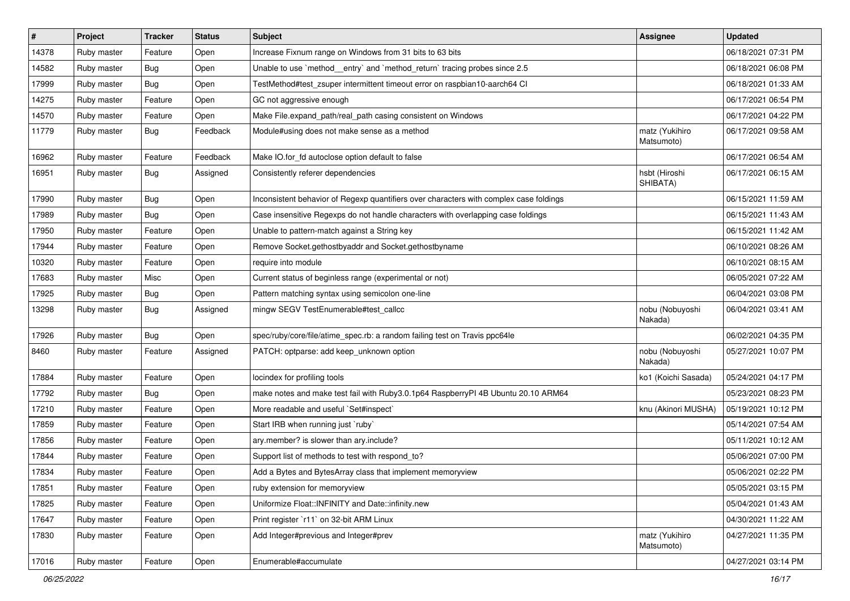| $\sharp$ | Project     | <b>Tracker</b> | <b>Status</b> | <b>Subject</b>                                                                         | <b>Assignee</b>              | <b>Updated</b>      |
|----------|-------------|----------------|---------------|----------------------------------------------------------------------------------------|------------------------------|---------------------|
| 14378    | Ruby master | Feature        | Open          | Increase Fixnum range on Windows from 31 bits to 63 bits                               |                              | 06/18/2021 07:31 PM |
| 14582    | Ruby master | Bug            | Open          | Unable to use `method_entry` and `method_return` tracing probes since 2.5              |                              | 06/18/2021 06:08 PM |
| 17999    | Ruby master | Bug            | Open          | TestMethod#test_zsuper intermittent timeout error on raspbian10-aarch64 CI             |                              | 06/18/2021 01:33 AM |
| 14275    | Ruby master | Feature        | Open          | GC not aggressive enough                                                               |                              | 06/17/2021 06:54 PM |
| 14570    | Ruby master | Feature        | Open          | Make File.expand_path/real_path casing consistent on Windows                           |                              | 06/17/2021 04:22 PM |
| 11779    | Ruby master | <b>Bug</b>     | Feedback      | Module#using does not make sense as a method                                           | matz (Yukihiro<br>Matsumoto) | 06/17/2021 09:58 AM |
| 16962    | Ruby master | Feature        | Feedback      | Make IO.for_fd autoclose option default to false                                       |                              | 06/17/2021 06:54 AM |
| 16951    | Ruby master | Bug            | Assigned      | Consistently referer dependencies                                                      | hsbt (Hiroshi<br>SHIBATA)    | 06/17/2021 06:15 AM |
| 17990    | Ruby master | Bug            | Open          | Inconsistent behavior of Regexp quantifiers over characters with complex case foldings |                              | 06/15/2021 11:59 AM |
| 17989    | Ruby master | <b>Bug</b>     | Open          | Case insensitive Regexps do not handle characters with overlapping case foldings       |                              | 06/15/2021 11:43 AM |
| 17950    | Ruby master | Feature        | Open          | Unable to pattern-match against a String key                                           |                              | 06/15/2021 11:42 AM |
| 17944    | Ruby master | Feature        | Open          | Remove Socket.gethostbyaddr and Socket.gethostbyname                                   |                              | 06/10/2021 08:26 AM |
| 10320    | Ruby master | Feature        | Open          | require into module                                                                    |                              | 06/10/2021 08:15 AM |
| 17683    | Ruby master | Misc           | Open          | Current status of beginless range (experimental or not)                                |                              | 06/05/2021 07:22 AM |
| 17925    | Ruby master | Bug            | Open          | Pattern matching syntax using semicolon one-line                                       |                              | 06/04/2021 03:08 PM |
| 13298    | Ruby master | Bug            | Assigned      | mingw SEGV TestEnumerable#test_callcc                                                  | nobu (Nobuyoshi<br>Nakada)   | 06/04/2021 03:41 AM |
| 17926    | Ruby master | Bug            | Open          | spec/ruby/core/file/atime_spec.rb: a random failing test on Travis ppc64le             |                              | 06/02/2021 04:35 PM |
| 8460     | Ruby master | Feature        | Assigned      | PATCH: optparse: add keep_unknown option                                               | nobu (Nobuyoshi<br>Nakada)   | 05/27/2021 10:07 PM |
| 17884    | Ruby master | Feature        | Open          | locindex for profiling tools                                                           | ko1 (Koichi Sasada)          | 05/24/2021 04:17 PM |
| 17792    | Ruby master | Bug            | Open          | make notes and make test fail with Ruby3.0.1p64 RaspberryPI 4B Ubuntu 20.10 ARM64      |                              | 05/23/2021 08:23 PM |
| 17210    | Ruby master | Feature        | Open          | More readable and useful `Set#inspect`                                                 | knu (Akinori MUSHA)          | 05/19/2021 10:12 PM |
| 17859    | Ruby master | Feature        | Open          | Start IRB when running just `ruby`                                                     |                              | 05/14/2021 07:54 AM |
| 17856    | Ruby master | Feature        | Open          | ary.member? is slower than ary.include?                                                |                              | 05/11/2021 10:12 AM |
| 17844    | Ruby master | Feature        | Open          | Support list of methods to test with respond_to?                                       |                              | 05/06/2021 07:00 PM |
| 17834    | Ruby master | Feature        | Open          | Add a Bytes and BytesArray class that implement memoryview                             |                              | 05/06/2021 02:22 PM |
| 17851    | Ruby master | Feature        | Open          | ruby extension for memoryview                                                          |                              | 05/05/2021 03:15 PM |
| 17825    | Ruby master | Feature        | Open          | Uniformize Float::INFINITY and Date::infinity.new                                      |                              | 05/04/2021 01:43 AM |
| 17647    | Ruby master | Feature        | Open          | Print register `r11` on 32-bit ARM Linux                                               |                              | 04/30/2021 11:22 AM |
| 17830    | Ruby master | Feature        | Open          | Add Integer#previous and Integer#prev                                                  | matz (Yukihiro<br>Matsumoto) | 04/27/2021 11:35 PM |
| 17016    | Ruby master | Feature        | Open          | Enumerable#accumulate                                                                  |                              | 04/27/2021 03:14 PM |